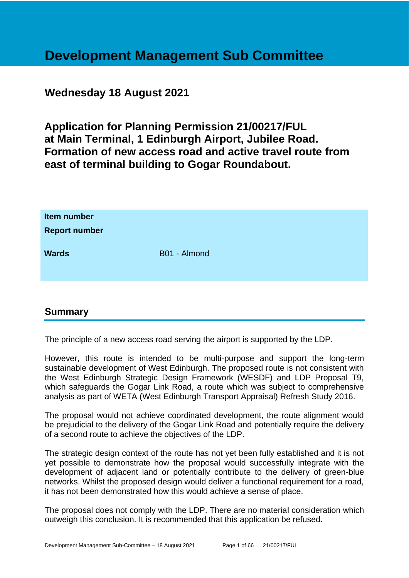# **Development Management Sub Committee**

# **Wednesday 18 August 2021**

**Application for Planning Permission 21/00217/FUL at Main Terminal, 1 Edinburgh Airport, Jubilee Road. Formation of new access road and active travel route from east of terminal building to Gogar Roundabout.**

| Item number<br><b>Report number</b> |              |
|-------------------------------------|--------------|
| <b>Wards</b>                        | B01 - Almond |

# **Summary**

The principle of a new access road serving the airport is supported by the LDP.

However, this route is intended to be multi-purpose and support the long-term sustainable development of West Edinburgh. The proposed route is not consistent with the West Edinburgh Strategic Design Framework (WESDF) and LDP Proposal T9, which safeguards the Gogar Link Road, a route which was subject to comprehensive analysis as part of WETA (West Edinburgh Transport Appraisal) Refresh Study 2016.

The proposal would not achieve coordinated development, the route alignment would be prejudicial to the delivery of the Gogar Link Road and potentially require the delivery of a second route to achieve the objectives of the LDP.

The strategic design context of the route has not yet been fully established and it is not yet possible to demonstrate how the proposal would successfully integrate with the development of adjacent land or potentially contribute to the delivery of green-blue networks. Whilst the proposed design would deliver a functional requirement for a road, it has not been demonstrated how this would achieve a sense of place.

The proposal does not comply with the LDP. There are no material consideration which outweigh this conclusion. It is recommended that this application be refused.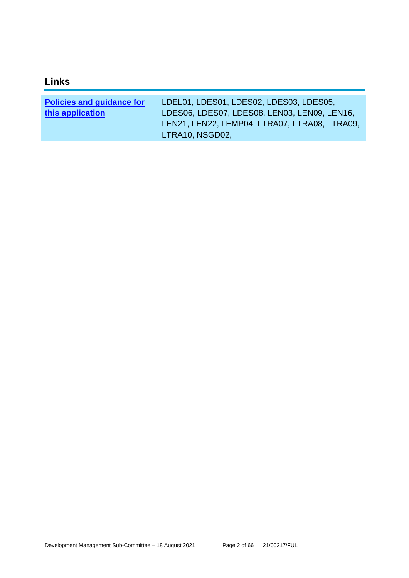| <b>Policies and guidance for</b> | LDEL01, LDES01, LDES02, LDES03, LDES05,       |
|----------------------------------|-----------------------------------------------|
| this application                 | LDES06, LDES07, LDES08, LEN03, LEN09, LEN16,  |
|                                  | LEN21, LEN22, LEMP04, LTRA07, LTRA08, LTRA09, |
|                                  | LTRA10, NSGD02,                               |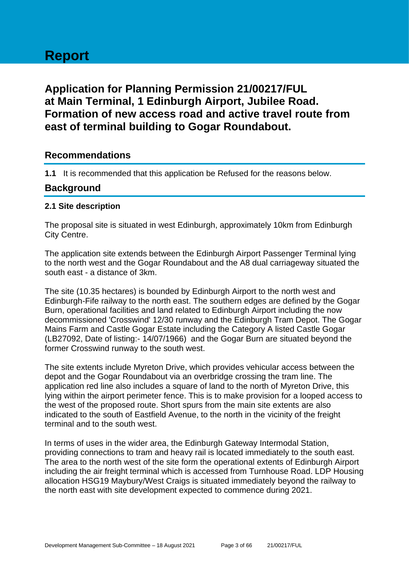# **Report**

# **Application for Planning Permission 21/00217/FUL at Main Terminal, 1 Edinburgh Airport, Jubilee Road. Formation of new access road and active travel route from east of terminal building to Gogar Roundabout.**

# **Recommendations**

**1.1** It is recommended that this application be Refused for the reasons below.

# **Background**

#### **2.1 Site description**

The proposal site is situated in west Edinburgh, approximately 10km from Edinburgh City Centre.

The application site extends between the Edinburgh Airport Passenger Terminal lying to the north west and the Gogar Roundabout and the A8 dual carriageway situated the south east - a distance of 3km.

The site (10.35 hectares) is bounded by Edinburgh Airport to the north west and Edinburgh-Fife railway to the north east. The southern edges are defined by the Gogar Burn, operational facilities and land related to Edinburgh Airport including the now decommissioned 'Crosswind' 12/30 runway and the Edinburgh Tram Depot. The Gogar Mains Farm and Castle Gogar Estate including the Category A listed Castle Gogar (LB27092, Date of listing:- 14/07/1966) and the Gogar Burn are situated beyond the former Crosswind runway to the south west.

The site extents include Myreton Drive, which provides vehicular access between the depot and the Gogar Roundabout via an overbridge crossing the tram line. The application red line also includes a square of land to the north of Myreton Drive, this lying within the airport perimeter fence. This is to make provision for a looped access to the west of the proposed route. Short spurs from the main site extents are also indicated to the south of Eastfield Avenue, to the north in the vicinity of the freight terminal and to the south west.

In terms of uses in the wider area, the Edinburgh Gateway Intermodal Station, providing connections to tram and heavy rail is located immediately to the south east. The area to the north west of the site form the operational extents of Edinburgh Airport including the air freight terminal which is accessed from Turnhouse Road. LDP Housing allocation HSG19 Maybury/West Craigs is situated immediately beyond the railway to the north east with site development expected to commence during 2021.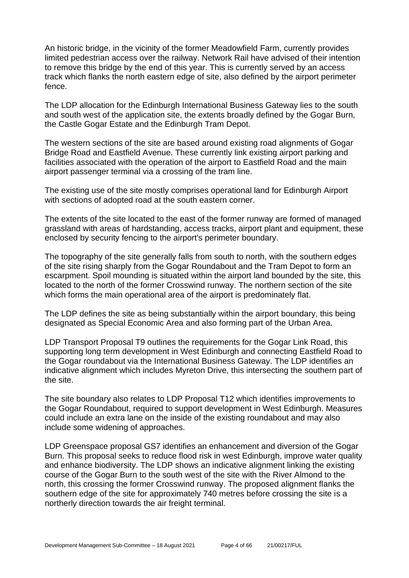An historic bridge, in the vicinity of the former Meadowfield Farm, currently provides limited pedestrian access over the railway. Network Rail have advised of their intention to remove this bridge by the end of this year. This is currently served by an access track which flanks the north eastern edge of site, also defined by the airport perimeter fence.

The LDP allocation for the Edinburgh International Business Gateway lies to the south and south west of the application site, the extents broadly defined by the Gogar Burn, the Castle Gogar Estate and the Edinburgh Tram Depot.

The western sections of the site are based around existing road alignments of Gogar Bridge Road and Eastfield Avenue. These currently link existing airport parking and facilities associated with the operation of the airport to Eastfield Road and the main airport passenger terminal via a crossing of the tram line.

The existing use of the site mostly comprises operational land for Edinburgh Airport with sections of adopted road at the south eastern corner.

The extents of the site located to the east of the former runway are formed of managed grassland with areas of hardstanding, access tracks, airport plant and equipment, these enclosed by security fencing to the airport's perimeter boundary.

The topography of the site generally falls from south to north, with the southern edges of the site rising sharply from the Gogar Roundabout and the Tram Depot to form an escarpment. Spoil mounding is situated within the airport land bounded by the site, this located to the north of the former Crosswind runway. The northern section of the site which forms the main operational area of the airport is predominately flat.

The LDP defines the site as being substantially within the airport boundary, this being designated as Special Economic Area and also forming part of the Urban Area.

LDP Transport Proposal T9 outlines the requirements for the Gogar Link Road, this supporting long term development in West Edinburgh and connecting Eastfield Road to the Gogar roundabout via the International Business Gateway. The LDP identifies an indicative alignment which includes Myreton Drive, this intersecting the southern part of the site.

The site boundary also relates to LDP Proposal T12 which identifies improvements to the Gogar Roundabout, required to support development in West Edinburgh. Measures could include an extra lane on the inside of the existing roundabout and may also include some widening of approaches.

LDP Greenspace proposal GS7 identifies an enhancement and diversion of the Gogar Burn. This proposal seeks to reduce flood risk in west Edinburgh, improve water quality and enhance biodiversity. The LDP shows an indicative alignment linking the existing course of the Gogar Burn to the south west of the site with the River Almond to the north, this crossing the former Crosswind runway. The proposed alignment flanks the southern edge of the site for approximately 740 metres before crossing the site is a northerly direction towards the air freight terminal.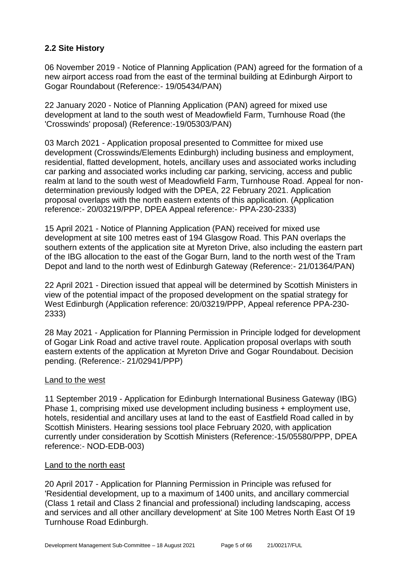# **2.2 Site History**

06 November 2019 - Notice of Planning Application (PAN) agreed for the formation of a new airport access road from the east of the terminal building at Edinburgh Airport to Gogar Roundabout (Reference:- 19/05434/PAN)

22 January 2020 - Notice of Planning Application (PAN) agreed for mixed use development at land to the south west of Meadowfield Farm, Turnhouse Road (the 'Crosswinds' proposal) (Reference:-19/05303/PAN)

03 March 2021 - Application proposal presented to Committee for mixed use development (Crosswinds/Elements Edinburgh) including business and employment, residential, flatted development, hotels, ancillary uses and associated works including car parking and associated works including car parking, servicing, access and public realm at land to the south west of Meadowfield Farm, Turnhouse Road. Appeal for nondetermination previously lodged with the DPEA, 22 February 2021. Application proposal overlaps with the north eastern extents of this application. (Application reference:- 20/03219/PPP, DPEA Appeal reference:- PPA-230-2333)

15 April 2021 - Notice of Planning Application (PAN) received for mixed use development at site 100 metres east of 194 Glasgow Road. This PAN overlaps the southern extents of the application site at Myreton Drive, also including the eastern part of the IBG allocation to the east of the Gogar Burn, land to the north west of the Tram Depot and land to the north west of Edinburgh Gateway (Reference:- 21/01364/PAN)

22 April 2021 - Direction issued that appeal will be determined by Scottish Ministers in view of the potential impact of the proposed development on the spatial strategy for West Edinburgh (Application reference: 20/03219/PPP, Appeal reference PPA-230- 2333)

28 May 2021 - Application for Planning Permission in Principle lodged for development of Gogar Link Road and active travel route. Application proposal overlaps with south eastern extents of the application at Myreton Drive and Gogar Roundabout. Decision pending. (Reference:- 21/02941/PPP)

#### Land to the west

11 September 2019 - Application for Edinburgh International Business Gateway (IBG) Phase 1, comprising mixed use development including business + employment use, hotels, residential and ancillary uses at land to the east of Eastfield Road called in by Scottish Ministers. Hearing sessions tool place February 2020, with application currently under consideration by Scottish Ministers (Reference:-15/05580/PPP, DPEA reference:- NOD-EDB-003)

#### Land to the north east

20 April 2017 - Application for Planning Permission in Principle was refused for 'Residential development, up to a maximum of 1400 units, and ancillary commercial (Class 1 retail and Class 2 financial and professional) including landscaping, access and services and all other ancillary development' at Site 100 Metres North East Of 19 Turnhouse Road Edinburgh.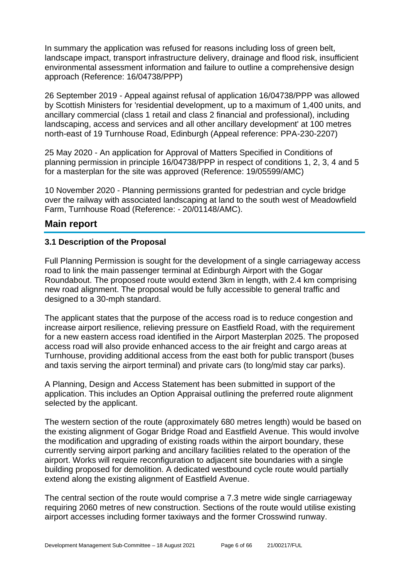In summary the application was refused for reasons including loss of green belt, landscape impact, transport infrastructure delivery, drainage and flood risk, insufficient environmental assessment information and failure to outline a comprehensive design approach (Reference: 16/04738/PPP)

26 September 2019 - Appeal against refusal of application 16/04738/PPP was allowed by Scottish Ministers for 'residential development, up to a maximum of 1,400 units, and ancillary commercial (class 1 retail and class 2 financial and professional), including landscaping, access and services and all other ancillary development' at 100 metres north-east of 19 Turnhouse Road, Edinburgh (Appeal reference: PPA-230-2207)

25 May 2020 - An application for Approval of Matters Specified in Conditions of planning permission in principle 16/04738/PPP in respect of conditions 1, 2, 3, 4 and 5 for a masterplan for the site was approved (Reference: 19/05599/AMC)

10 November 2020 - Planning permissions granted for pedestrian and cycle bridge over the railway with associated landscaping at land to the south west of Meadowfield Farm, Turnhouse Road (Reference: - 20/01148/AMC).

# **Main report**

#### **3.1 Description of the Proposal**

Full Planning Permission is sought for the development of a single carriageway access road to link the main passenger terminal at Edinburgh Airport with the Gogar Roundabout. The proposed route would extend 3km in length, with 2.4 km comprising new road alignment. The proposal would be fully accessible to general traffic and designed to a 30-mph standard.

The applicant states that the purpose of the access road is to reduce congestion and increase airport resilience, relieving pressure on Eastfield Road, with the requirement for a new eastern access road identified in the Airport Masterplan 2025. The proposed access road will also provide enhanced access to the air freight and cargo areas at Turnhouse, providing additional access from the east both for public transport (buses and taxis serving the airport terminal) and private cars (to long/mid stay car parks).

A Planning, Design and Access Statement has been submitted in support of the application. This includes an Option Appraisal outlining the preferred route alignment selected by the applicant.

The western section of the route (approximately 680 metres length) would be based on the existing alignment of Gogar Bridge Road and Eastfield Avenue. This would involve the modification and upgrading of existing roads within the airport boundary, these currently serving airport parking and ancillary facilities related to the operation of the airport. Works will require reconfiguration to adjacent site boundaries with a single building proposed for demolition. A dedicated westbound cycle route would partially extend along the existing alignment of Eastfield Avenue.

The central section of the route would comprise a 7.3 metre wide single carriageway requiring 2060 metres of new construction. Sections of the route would utilise existing airport accesses including former taxiways and the former Crosswind runway.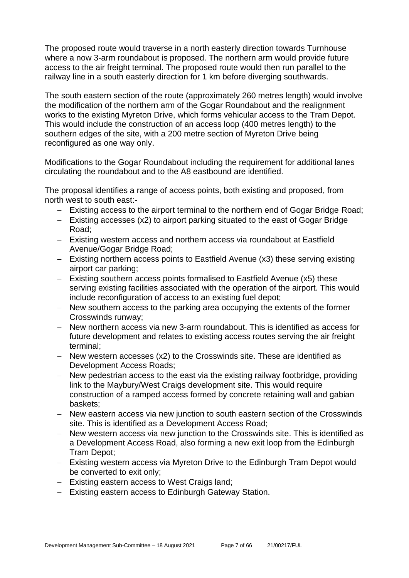The proposed route would traverse in a north easterly direction towards Turnhouse where a now 3-arm roundabout is proposed. The northern arm would provide future access to the air freight terminal. The proposed route would then run parallel to the railway line in a south easterly direction for 1 km before diverging southwards.

The south eastern section of the route (approximately 260 metres length) would involve the modification of the northern arm of the Gogar Roundabout and the realignment works to the existing Myreton Drive, which forms vehicular access to the Tram Depot. This would include the construction of an access loop (400 metres length) to the southern edges of the site, with a 200 metre section of Myreton Drive being reconfigured as one way only.

Modifications to the Gogar Roundabout including the requirement for additional lanes circulating the roundabout and to the A8 eastbound are identified.

The proposal identifies a range of access points, both existing and proposed, from north west to south east:-

- − Existing access to the airport terminal to the northern end of Gogar Bridge Road;
- − Existing accesses (x2) to airport parking situated to the east of Gogar Bridge Road;
- − Existing western access and northern access via roundabout at Eastfield Avenue/Gogar Bridge Road;
- − Existing northern access points to Eastfield Avenue (x3) these serving existing airport car parking;
- − Existing southern access points formalised to Eastfield Avenue (x5) these serving existing facilities associated with the operation of the airport. This would include reconfiguration of access to an existing fuel depot;
- − New southern access to the parking area occupying the extents of the former Crosswinds runway;
- − New northern access via new 3-arm roundabout. This is identified as access for future development and relates to existing access routes serving the air freight terminal;
- − New western accesses (x2) to the Crosswinds site. These are identified as Development Access Roads;
- − New pedestrian access to the east via the existing railway footbridge, providing link to the Maybury/West Craigs development site. This would require construction of a ramped access formed by concrete retaining wall and gabian baskets;
- − New eastern access via new junction to south eastern section of the Crosswinds site. This is identified as a Development Access Road;
- − New western access via new junction to the Crosswinds site. This is identified as a Development Access Road, also forming a new exit loop from the Edinburgh Tram Depot;
- − Existing western access via Myreton Drive to the Edinburgh Tram Depot would be converted to exit only;
- − Existing eastern access to West Craigs land;
- − Existing eastern access to Edinburgh Gateway Station.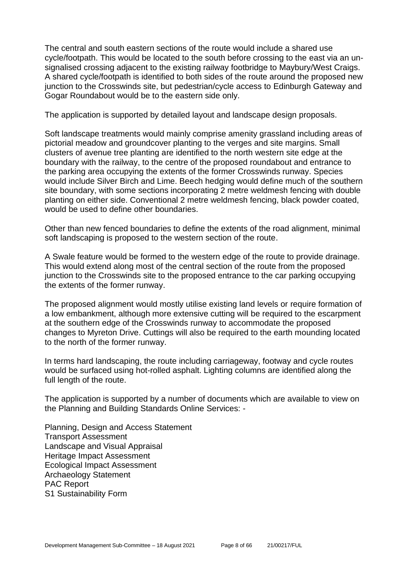The central and south eastern sections of the route would include a shared use cycle/footpath. This would be located to the south before crossing to the east via an unsignalised crossing adjacent to the existing railway footbridge to Maybury/West Craigs. A shared cycle/footpath is identified to both sides of the route around the proposed new junction to the Crosswinds site, but pedestrian/cycle access to Edinburgh Gateway and Gogar Roundabout would be to the eastern side only.

The application is supported by detailed layout and landscape design proposals.

Soft landscape treatments would mainly comprise amenity grassland including areas of pictorial meadow and groundcover planting to the verges and site margins. Small clusters of avenue tree planting are identified to the north western site edge at the boundary with the railway, to the centre of the proposed roundabout and entrance to the parking area occupying the extents of the former Crosswinds runway. Species would include Silver Birch and Lime. Beech hedging would define much of the southern site boundary, with some sections incorporating 2 metre weldmesh fencing with double planting on either side. Conventional 2 metre weldmesh fencing, black powder coated, would be used to define other boundaries.

Other than new fenced boundaries to define the extents of the road alignment, minimal soft landscaping is proposed to the western section of the route.

A Swale feature would be formed to the western edge of the route to provide drainage. This would extend along most of the central section of the route from the proposed junction to the Crosswinds site to the proposed entrance to the car parking occupying the extents of the former runway.

The proposed alignment would mostly utilise existing land levels or require formation of a low embankment, although more extensive cutting will be required to the escarpment at the southern edge of the Crosswinds runway to accommodate the proposed changes to Myreton Drive. Cuttings will also be required to the earth mounding located to the north of the former runway.

In terms hard landscaping, the route including carriageway, footway and cycle routes would be surfaced using hot-rolled asphalt. Lighting columns are identified along the full length of the route.

The application is supported by a number of documents which are available to view on the Planning and Building Standards Online Services: -

Planning, Design and Access Statement Transport Assessment Landscape and Visual Appraisal Heritage Impact Assessment Ecological Impact Assessment Archaeology Statement PAC Report S1 Sustainability Form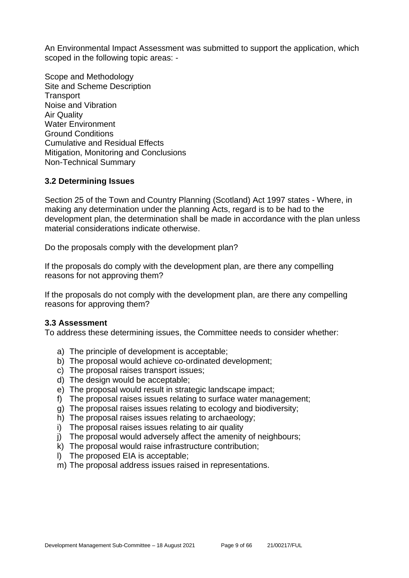An Environmental Impact Assessment was submitted to support the application, which scoped in the following topic areas: -

Scope and Methodology Site and Scheme Description **Transport** Noise and Vibration Air Quality Water Environment Ground Conditions Cumulative and Residual Effects Mitigation, Monitoring and Conclusions Non-Technical Summary

#### **3.2 Determining Issues**

Section 25 of the Town and Country Planning (Scotland) Act 1997 states - Where, in making any determination under the planning Acts, regard is to be had to the development plan, the determination shall be made in accordance with the plan unless material considerations indicate otherwise.

Do the proposals comply with the development plan?

If the proposals do comply with the development plan, are there any compelling reasons for not approving them?

If the proposals do not comply with the development plan, are there any compelling reasons for approving them?

#### **3.3 Assessment**

To address these determining issues, the Committee needs to consider whether:

- a) The principle of development is acceptable;
- b) The proposal would achieve co-ordinated development;
- c) The proposal raises transport issues;
- d) The design would be acceptable;
- e) The proposal would result in strategic landscape impact;
- f) The proposal raises issues relating to surface water management;
- g) The proposal raises issues relating to ecology and biodiversity;
- h) The proposal raises issues relating to archaeology;
- i) The proposal raises issues relating to air quality
- j) The proposal would adversely affect the amenity of neighbours;
- k) The proposal would raise infrastructure contribution;
- l) The proposed EIA is acceptable;
- m) The proposal address issues raised in representations.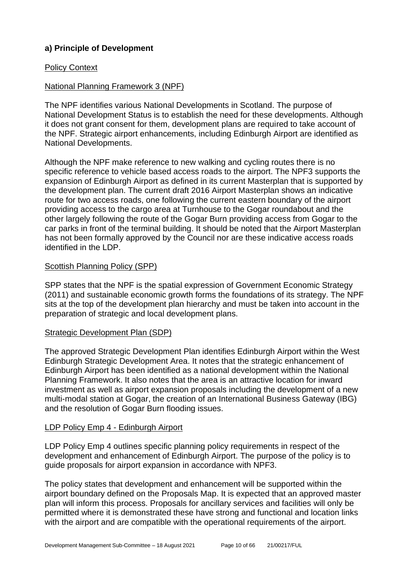# **a) Principle of Development**

#### Policy Context

# National Planning Framework 3 (NPF)

The NPF identifies various National Developments in Scotland. The purpose of National Development Status is to establish the need for these developments. Although it does not grant consent for them, development plans are required to take account of the NPF. Strategic airport enhancements, including Edinburgh Airport are identified as National Developments.

Although the NPF make reference to new walking and cycling routes there is no specific reference to vehicle based access roads to the airport. The NPF3 supports the expansion of Edinburgh Airport as defined in its current Masterplan that is supported by the development plan. The current draft 2016 Airport Masterplan shows an indicative route for two access roads, one following the current eastern boundary of the airport providing access to the cargo area at Turnhouse to the Gogar roundabout and the other largely following the route of the Gogar Burn providing access from Gogar to the car parks in front of the terminal building. It should be noted that the Airport Masterplan has not been formally approved by the Council nor are these indicative access roads identified in the LDP.

#### Scottish Planning Policy (SPP)

SPP states that the NPF is the spatial expression of Government Economic Strategy (2011) and sustainable economic growth forms the foundations of its strategy. The NPF sits at the top of the development plan hierarchy and must be taken into account in the preparation of strategic and local development plans.

#### Strategic Development Plan (SDP)

The approved Strategic Development Plan identifies Edinburgh Airport within the West Edinburgh Strategic Development Area. It notes that the strategic enhancement of Edinburgh Airport has been identified as a national development within the National Planning Framework. It also notes that the area is an attractive location for inward investment as well as airport expansion proposals including the development of a new multi-modal station at Gogar, the creation of an International Business Gateway (IBG) and the resolution of Gogar Burn flooding issues.

#### LDP Policy Emp 4 - Edinburgh Airport

LDP Policy Emp 4 outlines specific planning policy requirements in respect of the development and enhancement of Edinburgh Airport. The purpose of the policy is to guide proposals for airport expansion in accordance with NPF3.

The policy states that development and enhancement will be supported within the airport boundary defined on the Proposals Map. It is expected that an approved master plan will inform this process. Proposals for ancillary services and facilities will only be permitted where it is demonstrated these have strong and functional and location links with the airport and are compatible with the operational requirements of the airport.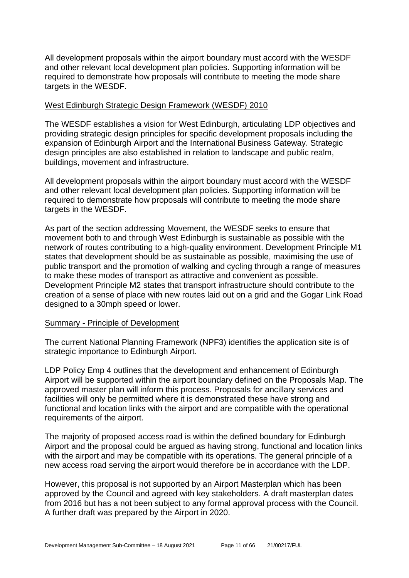All development proposals within the airport boundary must accord with the WESDF and other relevant local development plan policies. Supporting information will be required to demonstrate how proposals will contribute to meeting the mode share targets in the WESDF.

#### West Edinburgh Strategic Design Framework (WESDF) 2010

The WESDF establishes a vision for West Edinburgh, articulating LDP objectives and providing strategic design principles for specific development proposals including the expansion of Edinburgh Airport and the International Business Gateway. Strategic design principles are also established in relation to landscape and public realm, buildings, movement and infrastructure.

All development proposals within the airport boundary must accord with the WESDF and other relevant local development plan policies. Supporting information will be required to demonstrate how proposals will contribute to meeting the mode share targets in the WESDF.

As part of the section addressing Movement, the WESDF seeks to ensure that movement both to and through West Edinburgh is sustainable as possible with the network of routes contributing to a high-quality environment. Development Principle M1 states that development should be as sustainable as possible, maximising the use of public transport and the promotion of walking and cycling through a range of measures to make these modes of transport as attractive and convenient as possible. Development Principle M2 states that transport infrastructure should contribute to the creation of a sense of place with new routes laid out on a grid and the Gogar Link Road designed to a 30mph speed or lower.

#### Summary - Principle of Development

The current National Planning Framework (NPF3) identifies the application site is of strategic importance to Edinburgh Airport.

LDP Policy Emp 4 outlines that the development and enhancement of Edinburgh Airport will be supported within the airport boundary defined on the Proposals Map. The approved master plan will inform this process. Proposals for ancillary services and facilities will only be permitted where it is demonstrated these have strong and functional and location links with the airport and are compatible with the operational requirements of the airport.

The majority of proposed access road is within the defined boundary for Edinburgh Airport and the proposal could be argued as having strong, functional and location links with the airport and may be compatible with its operations. The general principle of a new access road serving the airport would therefore be in accordance with the LDP.

However, this proposal is not supported by an Airport Masterplan which has been approved by the Council and agreed with key stakeholders. A draft masterplan dates from 2016 but has a not been subject to any formal approval process with the Council. A further draft was prepared by the Airport in 2020.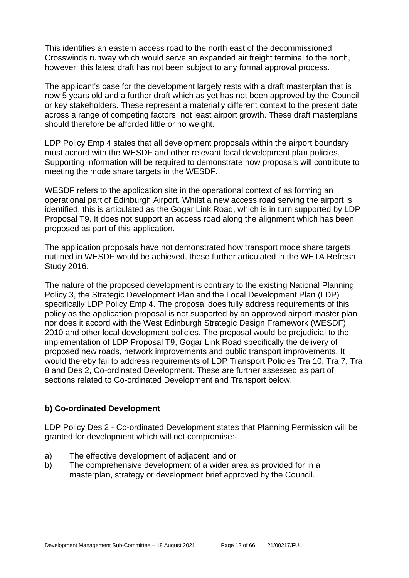This identifies an eastern access road to the north east of the decommissioned Crosswinds runway which would serve an expanded air freight terminal to the north, however, this latest draft has not been subject to any formal approval process.

The applicant's case for the development largely rests with a draft masterplan that is now 5 years old and a further draft which as yet has not been approved by the Council or key stakeholders. These represent a materially different context to the present date across a range of competing factors, not least airport growth. These draft masterplans should therefore be afforded little or no weight.

LDP Policy Emp 4 states that all development proposals within the airport boundary must accord with the WESDF and other relevant local development plan policies. Supporting information will be required to demonstrate how proposals will contribute to meeting the mode share targets in the WESDF.

WESDF refers to the application site in the operational context of as forming an operational part of Edinburgh Airport. Whilst a new access road serving the airport is identified, this is articulated as the Gogar Link Road, which is in turn supported by LDP Proposal T9. It does not support an access road along the alignment which has been proposed as part of this application.

The application proposals have not demonstrated how transport mode share targets outlined in WESDF would be achieved, these further articulated in the WETA Refresh Study 2016.

The nature of the proposed development is contrary to the existing National Planning Policy 3, the Strategic Development Plan and the Local Development Plan (LDP) specifically LDP Policy Emp 4. The proposal does fully address requirements of this policy as the application proposal is not supported by an approved airport master plan nor does it accord with the West Edinburgh Strategic Design Framework (WESDF) 2010 and other local development policies. The proposal would be prejudicial to the implementation of LDP Proposal T9, Gogar Link Road specifically the delivery of proposed new roads, network improvements and public transport improvements. It would thereby fail to address requirements of LDP Transport Policies Tra 10, Tra 7, Tra 8 and Des 2, Co-ordinated Development. These are further assessed as part of sections related to Co-ordinated Development and Transport below.

#### **b) Co-ordinated Development**

LDP Policy Des 2 - Co-ordinated Development states that Planning Permission will be granted for development which will not compromise:-

- a) The effective development of adjacent land or
- b) The comprehensive development of a wider area as provided for in a masterplan, strategy or development brief approved by the Council.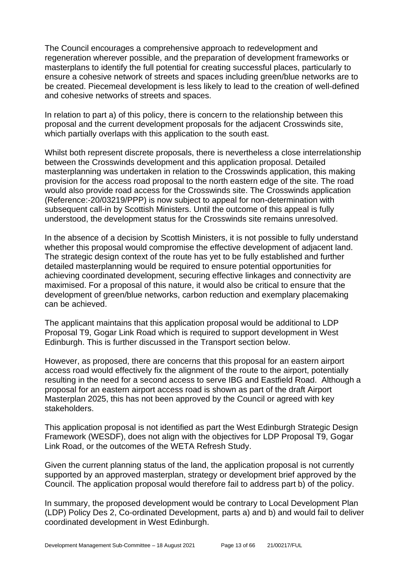The Council encourages a comprehensive approach to redevelopment and regeneration wherever possible, and the preparation of development frameworks or masterplans to identify the full potential for creating successful places, particularly to ensure a cohesive network of streets and spaces including green/blue networks are to be created. Piecemeal development is less likely to lead to the creation of well-defined and cohesive networks of streets and spaces.

In relation to part a) of this policy, there is concern to the relationship between this proposal and the current development proposals for the adjacent Crosswinds site, which partially overlaps with this application to the south east.

Whilst both represent discrete proposals, there is nevertheless a close interrelationship between the Crosswinds development and this application proposal. Detailed masterplanning was undertaken in relation to the Crosswinds application, this making provision for the access road proposal to the north eastern edge of the site. The road would also provide road access for the Crosswinds site. The Crosswinds application (Reference:-20/03219/PPP) is now subject to appeal for non-determination with subsequent call-in by Scottish Ministers. Until the outcome of this appeal is fully understood, the development status for the Crosswinds site remains unresolved.

In the absence of a decision by Scottish Ministers, it is not possible to fully understand whether this proposal would compromise the effective development of adjacent land. The strategic design context of the route has yet to be fully established and further detailed masterplanning would be required to ensure potential opportunities for achieving coordinated development, securing effective linkages and connectivity are maximised. For a proposal of this nature, it would also be critical to ensure that the development of green/blue networks, carbon reduction and exemplary placemaking can be achieved.

The applicant maintains that this application proposal would be additional to LDP Proposal T9, Gogar Link Road which is required to support development in West Edinburgh. This is further discussed in the Transport section below.

However, as proposed, there are concerns that this proposal for an eastern airport access road would effectively fix the alignment of the route to the airport, potentially resulting in the need for a second access to serve IBG and Eastfield Road. Although a proposal for an eastern airport access road is shown as part of the draft Airport Masterplan 2025, this has not been approved by the Council or agreed with key stakeholders.

This application proposal is not identified as part the West Edinburgh Strategic Design Framework (WESDF), does not align with the objectives for LDP Proposal T9, Gogar Link Road, or the outcomes of the WETA Refresh Study.

Given the current planning status of the land, the application proposal is not currently supported by an approved masterplan, strategy or development brief approved by the Council. The application proposal would therefore fail to address part b) of the policy.

In summary, the proposed development would be contrary to Local Development Plan (LDP) Policy Des 2, Co-ordinated Development, parts a) and b) and would fail to deliver coordinated development in West Edinburgh.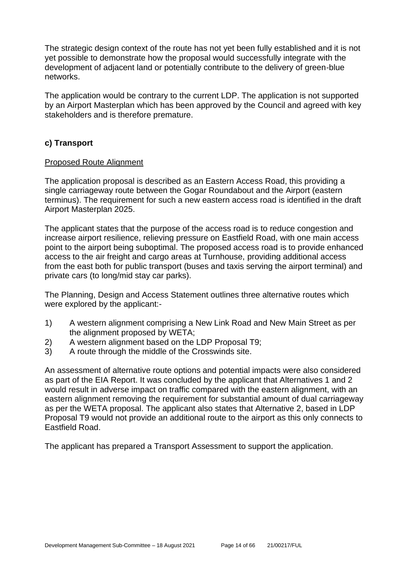The strategic design context of the route has not yet been fully established and it is not yet possible to demonstrate how the proposal would successfully integrate with the development of adjacent land or potentially contribute to the delivery of green-blue networks.

The application would be contrary to the current LDP. The application is not supported by an Airport Masterplan which has been approved by the Council and agreed with key stakeholders and is therefore premature.

# **c) Transport**

#### Proposed Route Alignment

The application proposal is described as an Eastern Access Road, this providing a single carriageway route between the Gogar Roundabout and the Airport (eastern terminus). The requirement for such a new eastern access road is identified in the draft Airport Masterplan 2025.

The applicant states that the purpose of the access road is to reduce congestion and increase airport resilience, relieving pressure on Eastfield Road, with one main access point to the airport being suboptimal. The proposed access road is to provide enhanced access to the air freight and cargo areas at Turnhouse, providing additional access from the east both for public transport (buses and taxis serving the airport terminal) and private cars (to long/mid stay car parks).

The Planning, Design and Access Statement outlines three alternative routes which were explored by the applicant:-

- 1) A western alignment comprising a New Link Road and New Main Street as per the alignment proposed by WETA;
- 2) A western alignment based on the LDP Proposal T9;
- 3) A route through the middle of the Crosswinds site.

An assessment of alternative route options and potential impacts were also considered as part of the EIA Report. It was concluded by the applicant that Alternatives 1 and 2 would result in adverse impact on traffic compared with the eastern alignment, with an eastern alignment removing the requirement for substantial amount of dual carriageway as per the WETA proposal. The applicant also states that Alternative 2, based in LDP Proposal T9 would not provide an additional route to the airport as this only connects to Eastfield Road.

The applicant has prepared a Transport Assessment to support the application.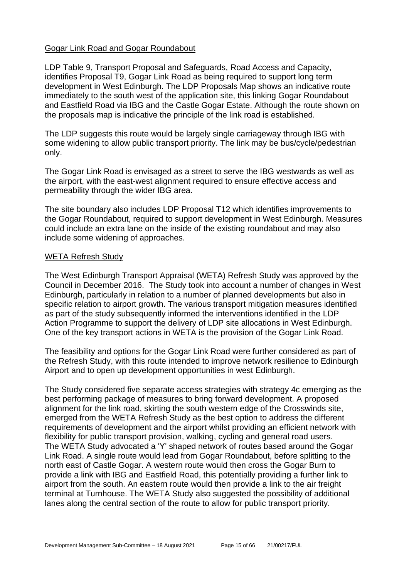#### Gogar Link Road and Gogar Roundabout

LDP Table 9, Transport Proposal and Safeguards, Road Access and Capacity, identifies Proposal T9, Gogar Link Road as being required to support long term development in West Edinburgh. The LDP Proposals Map shows an indicative route immediately to the south west of the application site, this linking Gogar Roundabout and Eastfield Road via IBG and the Castle Gogar Estate. Although the route shown on the proposals map is indicative the principle of the link road is established.

The LDP suggests this route would be largely single carriageway through IBG with some widening to allow public transport priority. The link may be bus/cycle/pedestrian only.

The Gogar Link Road is envisaged as a street to serve the IBG westwards as well as the airport, with the east-west alignment required to ensure effective access and permeability through the wider IBG area.

The site boundary also includes LDP Proposal T12 which identifies improvements to the Gogar Roundabout, required to support development in West Edinburgh. Measures could include an extra lane on the inside of the existing roundabout and may also include some widening of approaches.

#### WETA Refresh Study

The West Edinburgh Transport Appraisal (WETA) Refresh Study was approved by the Council in December 2016. The Study took into account a number of changes in West Edinburgh, particularly in relation to a number of planned developments but also in specific relation to airport growth. The various transport mitigation measures identified as part of the study subsequently informed the interventions identified in the LDP Action Programme to support the delivery of LDP site allocations in West Edinburgh. One of the key transport actions in WETA is the provision of the Gogar Link Road.

The feasibility and options for the Gogar Link Road were further considered as part of the Refresh Study, with this route intended to improve network resilience to Edinburgh Airport and to open up development opportunities in west Edinburgh.

The Study considered five separate access strategies with strategy 4c emerging as the best performing package of measures to bring forward development. A proposed alignment for the link road, skirting the south western edge of the Crosswinds site, emerged from the WETA Refresh Study as the best option to address the different requirements of development and the airport whilst providing an efficient network with flexibility for public transport provision, walking, cycling and general road users. The WETA Study advocated a 'Y' shaped network of routes based around the Gogar Link Road. A single route would lead from Gogar Roundabout, before splitting to the north east of Castle Gogar. A western route would then cross the Gogar Burn to provide a link with IBG and Eastfield Road, this potentially providing a further link to airport from the south. An eastern route would then provide a link to the air freight terminal at Turnhouse. The WETA Study also suggested the possibility of additional lanes along the central section of the route to allow for public transport priority.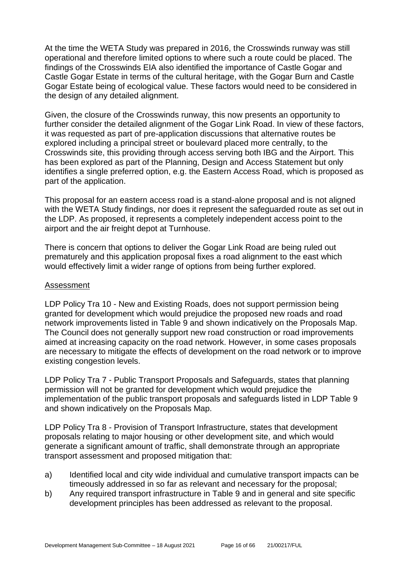At the time the WETA Study was prepared in 2016, the Crosswinds runway was still operational and therefore limited options to where such a route could be placed. The findings of the Crosswinds EIA also identified the importance of Castle Gogar and Castle Gogar Estate in terms of the cultural heritage, with the Gogar Burn and Castle Gogar Estate being of ecological value. These factors would need to be considered in the design of any detailed alignment.

Given, the closure of the Crosswinds runway, this now presents an opportunity to further consider the detailed alignment of the Gogar Link Road. In view of these factors, it was requested as part of pre-application discussions that alternative routes be explored including a principal street or boulevard placed more centrally, to the Crosswinds site, this providing through access serving both IBG and the Airport. This has been explored as part of the Planning, Design and Access Statement but only identifies a single preferred option, e.g. the Eastern Access Road, which is proposed as part of the application.

This proposal for an eastern access road is a stand-alone proposal and is not aligned with the WETA Study findings, nor does it represent the safeguarded route as set out in the LDP. As proposed, it represents a completely independent access point to the airport and the air freight depot at Turnhouse.

There is concern that options to deliver the Gogar Link Road are being ruled out prematurely and this application proposal fixes a road alignment to the east which would effectively limit a wider range of options from being further explored.

#### Assessment

LDP Policy Tra 10 - New and Existing Roads, does not support permission being granted for development which would prejudice the proposed new roads and road network improvements listed in Table 9 and shown indicatively on the Proposals Map. The Council does not generally support new road construction or road improvements aimed at increasing capacity on the road network. However, in some cases proposals are necessary to mitigate the effects of development on the road network or to improve existing congestion levels.

LDP Policy Tra 7 - Public Transport Proposals and Safeguards, states that planning permission will not be granted for development which would prejudice the implementation of the public transport proposals and safeguards listed in LDP Table 9 and shown indicatively on the Proposals Map.

LDP Policy Tra 8 - Provision of Transport Infrastructure, states that development proposals relating to major housing or other development site, and which would generate a significant amount of traffic, shall demonstrate through an appropriate transport assessment and proposed mitigation that:

- a) Identified local and city wide individual and cumulative transport impacts can be timeously addressed in so far as relevant and necessary for the proposal;
- b) Any required transport infrastructure in Table 9 and in general and site specific development principles has been addressed as relevant to the proposal.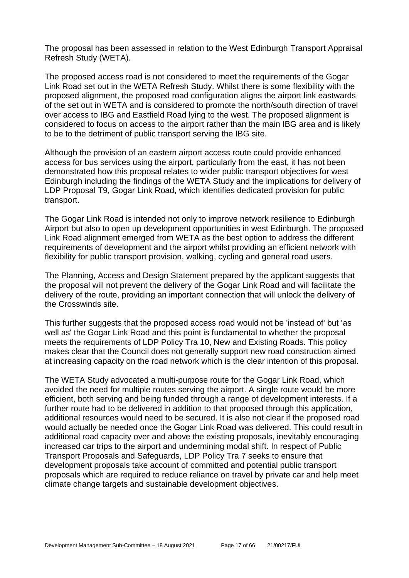The proposal has been assessed in relation to the West Edinburgh Transport Appraisal Refresh Study (WETA).

The proposed access road is not considered to meet the requirements of the Gogar Link Road set out in the WETA Refresh Study. Whilst there is some flexibility with the proposed alignment, the proposed road configuration aligns the airport link eastwards of the set out in WETA and is considered to promote the north/south direction of travel over access to IBG and Eastfield Road lying to the west. The proposed alignment is considered to focus on access to the airport rather than the main IBG area and is likely to be to the detriment of public transport serving the IBG site.

Although the provision of an eastern airport access route could provide enhanced access for bus services using the airport, particularly from the east, it has not been demonstrated how this proposal relates to wider public transport objectives for west Edinburgh including the findings of the WETA Study and the implications for delivery of LDP Proposal T9, Gogar Link Road, which identifies dedicated provision for public transport.

The Gogar Link Road is intended not only to improve network resilience to Edinburgh Airport but also to open up development opportunities in west Edinburgh. The proposed Link Road alignment emerged from WETA as the best option to address the different requirements of development and the airport whilst providing an efficient network with flexibility for public transport provision, walking, cycling and general road users.

The Planning, Access and Design Statement prepared by the applicant suggests that the proposal will not prevent the delivery of the Gogar Link Road and will facilitate the delivery of the route, providing an important connection that will unlock the delivery of the Crosswinds site.

This further suggests that the proposed access road would not be 'instead of' but 'as well as' the Gogar Link Road and this point is fundamental to whether the proposal meets the requirements of LDP Policy Tra 10, New and Existing Roads. This policy makes clear that the Council does not generally support new road construction aimed at increasing capacity on the road network which is the clear intention of this proposal.

The WETA Study advocated a multi-purpose route for the Gogar Link Road, which avoided the need for multiple routes serving the airport. A single route would be more efficient, both serving and being funded through a range of development interests. If a further route had to be delivered in addition to that proposed through this application, additional resources would need to be secured. It is also not clear if the proposed road would actually be needed once the Gogar Link Road was delivered. This could result in additional road capacity over and above the existing proposals, inevitably encouraging increased car trips to the airport and undermining modal shift. In respect of Public Transport Proposals and Safeguards, LDP Policy Tra 7 seeks to ensure that development proposals take account of committed and potential public transport proposals which are required to reduce reliance on travel by private car and help meet climate change targets and sustainable development objectives.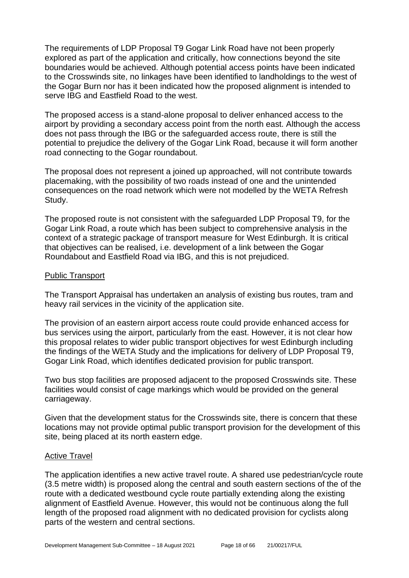The requirements of LDP Proposal T9 Gogar Link Road have not been properly explored as part of the application and critically, how connections beyond the site boundaries would be achieved. Although potential access points have been indicated to the Crosswinds site, no linkages have been identified to landholdings to the west of the Gogar Burn nor has it been indicated how the proposed alignment is intended to serve IBG and Eastfield Road to the west.

The proposed access is a stand-alone proposal to deliver enhanced access to the airport by providing a secondary access point from the north east. Although the access does not pass through the IBG or the safeguarded access route, there is still the potential to prejudice the delivery of the Gogar Link Road, because it will form another road connecting to the Gogar roundabout.

The proposal does not represent a joined up approached, will not contribute towards placemaking, with the possibility of two roads instead of one and the unintended consequences on the road network which were not modelled by the WETA Refresh Study.

The proposed route is not consistent with the safeguarded LDP Proposal T9, for the Gogar Link Road, a route which has been subject to comprehensive analysis in the context of a strategic package of transport measure for West Edinburgh. It is critical that objectives can be realised, i.e. development of a link between the Gogar Roundabout and Eastfield Road via IBG, and this is not prejudiced.

#### Public Transport

The Transport Appraisal has undertaken an analysis of existing bus routes, tram and heavy rail services in the vicinity of the application site.

The provision of an eastern airport access route could provide enhanced access for bus services using the airport, particularly from the east. However, it is not clear how this proposal relates to wider public transport objectives for west Edinburgh including the findings of the WETA Study and the implications for delivery of LDP Proposal T9, Gogar Link Road, which identifies dedicated provision for public transport.

Two bus stop facilities are proposed adjacent to the proposed Crosswinds site. These facilities would consist of cage markings which would be provided on the general carriageway.

Given that the development status for the Crosswinds site, there is concern that these locations may not provide optimal public transport provision for the development of this site, being placed at its north eastern edge.

#### Active Travel

The application identifies a new active travel route. A shared use pedestrian/cycle route (3.5 metre width) is proposed along the central and south eastern sections of the of the route with a dedicated westbound cycle route partially extending along the existing alignment of Eastfield Avenue. However, this would not be continuous along the full length of the proposed road alignment with no dedicated provision for cyclists along parts of the western and central sections.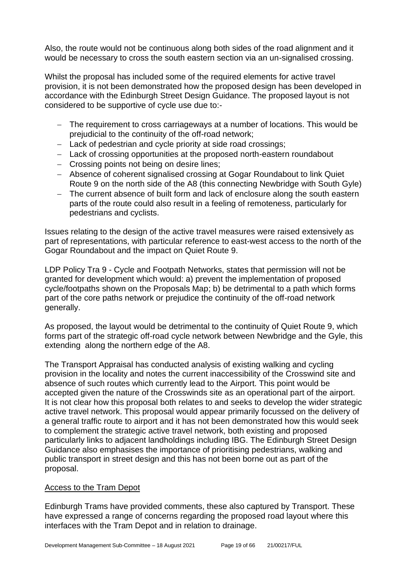Also, the route would not be continuous along both sides of the road alignment and it would be necessary to cross the south eastern section via an un-signalised crossing.

Whilst the proposal has included some of the required elements for active travel provision, it is not been demonstrated how the proposed design has been developed in accordance with the Edinburgh Street Design Guidance. The proposed layout is not considered to be supportive of cycle use due to:-

- − The requirement to cross carriageways at a number of locations. This would be prejudicial to the continuity of the off-road network;
- − Lack of pedestrian and cycle priority at side road crossings;
- − Lack of crossing opportunities at the proposed north-eastern roundabout
- − Crossing points not being on desire lines;
- − Absence of coherent signalised crossing at Gogar Roundabout to link Quiet Route 9 on the north side of the A8 (this connecting Newbridge with South Gyle)
- − The current absence of built form and lack of enclosure along the south eastern parts of the route could also result in a feeling of remoteness, particularly for pedestrians and cyclists.

Issues relating to the design of the active travel measures were raised extensively as part of representations, with particular reference to east-west access to the north of the Gogar Roundabout and the impact on Quiet Route 9.

LDP Policy Tra 9 - Cycle and Footpath Networks, states that permission will not be granted for development which would: a) prevent the implementation of proposed cycle/footpaths shown on the Proposals Map; b) be detrimental to a path which forms part of the core paths network or prejudice the continuity of the off-road network generally.

As proposed, the layout would be detrimental to the continuity of Quiet Route 9, which forms part of the strategic off-road cycle network between Newbridge and the Gyle, this extending along the northern edge of the A8.

The Transport Appraisal has conducted analysis of existing walking and cycling provision in the locality and notes the current inaccessibility of the Crosswind site and absence of such routes which currently lead to the Airport. This point would be accepted given the nature of the Crosswinds site as an operational part of the airport. It is not clear how this proposal both relates to and seeks to develop the wider strategic active travel network. This proposal would appear primarily focussed on the delivery of a general traffic route to airport and it has not been demonstrated how this would seek to complement the strategic active travel network, both existing and proposed particularly links to adjacent landholdings including IBG. The Edinburgh Street Design Guidance also emphasises the importance of prioritising pedestrians, walking and public transport in street design and this has not been borne out as part of the proposal.

#### Access to the Tram Depot

Edinburgh Trams have provided comments, these also captured by Transport. These have expressed a range of concerns regarding the proposed road layout where this interfaces with the Tram Depot and in relation to drainage.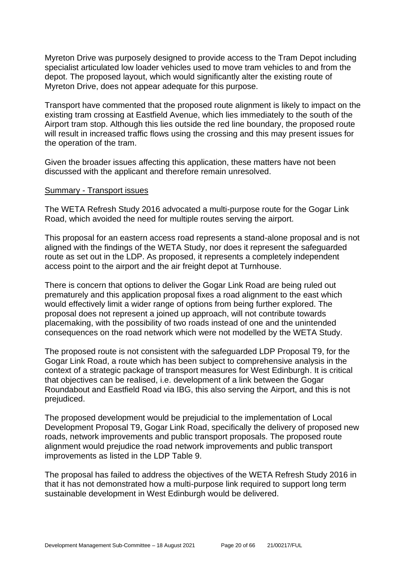Myreton Drive was purposely designed to provide access to the Tram Depot including specialist articulated low loader vehicles used to move tram vehicles to and from the depot. The proposed layout, which would significantly alter the existing route of Myreton Drive, does not appear adequate for this purpose.

Transport have commented that the proposed route alignment is likely to impact on the existing tram crossing at Eastfield Avenue, which lies immediately to the south of the Airport tram stop. Although this lies outside the red line boundary, the proposed route will result in increased traffic flows using the crossing and this may present issues for the operation of the tram.

Given the broader issues affecting this application, these matters have not been discussed with the applicant and therefore remain unresolved.

#### Summary - Transport issues

The WETA Refresh Study 2016 advocated a multi-purpose route for the Gogar Link Road, which avoided the need for multiple routes serving the airport.

This proposal for an eastern access road represents a stand-alone proposal and is not aligned with the findings of the WETA Study, nor does it represent the safeguarded route as set out in the LDP. As proposed, it represents a completely independent access point to the airport and the air freight depot at Turnhouse.

There is concern that options to deliver the Gogar Link Road are being ruled out prematurely and this application proposal fixes a road alignment to the east which would effectively limit a wider range of options from being further explored. The proposal does not represent a joined up approach, will not contribute towards placemaking, with the possibility of two roads instead of one and the unintended consequences on the road network which were not modelled by the WETA Study.

The proposed route is not consistent with the safeguarded LDP Proposal T9, for the Gogar Link Road, a route which has been subject to comprehensive analysis in the context of a strategic package of transport measures for West Edinburgh. It is critical that objectives can be realised, i.e. development of a link between the Gogar Roundabout and Eastfield Road via IBG, this also serving the Airport, and this is not prejudiced.

The proposed development would be prejudicial to the implementation of Local Development Proposal T9, Gogar Link Road, specifically the delivery of proposed new roads, network improvements and public transport proposals. The proposed route alignment would prejudice the road network improvements and public transport improvements as listed in the LDP Table 9.

The proposal has failed to address the objectives of the WETA Refresh Study 2016 in that it has not demonstrated how a multi-purpose link required to support long term sustainable development in West Edinburgh would be delivered.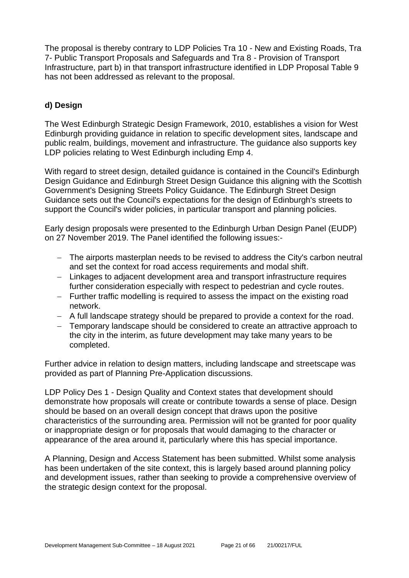The proposal is thereby contrary to LDP Policies Tra 10 - New and Existing Roads, Tra 7- Public Transport Proposals and Safeguards and Tra 8 - Provision of Transport Infrastructure, part b) in that transport infrastructure identified in LDP Proposal Table 9 has not been addressed as relevant to the proposal.

# **d) Design**

The West Edinburgh Strategic Design Framework, 2010, establishes a vision for West Edinburgh providing guidance in relation to specific development sites, landscape and public realm, buildings, movement and infrastructure. The guidance also supports key LDP policies relating to West Edinburgh including Emp 4.

With regard to street design, detailed guidance is contained in the Council's Edinburgh Design Guidance and Edinburgh Street Design Guidance this aligning with the Scottish Government's Designing Streets Policy Guidance. The Edinburgh Street Design Guidance sets out the Council's expectations for the design of Edinburgh's streets to support the Council's wider policies, in particular transport and planning policies.

Early design proposals were presented to the Edinburgh Urban Design Panel (EUDP) on 27 November 2019. The Panel identified the following issues:-

- − The airports masterplan needs to be revised to address the City's carbon neutral and set the context for road access requirements and modal shift.
- − Linkages to adjacent development area and transport infrastructure requires further consideration especially with respect to pedestrian and cycle routes.
- − Further traffic modelling is required to assess the impact on the existing road network.
- − A full landscape strategy should be prepared to provide a context for the road.
- − Temporary landscape should be considered to create an attractive approach to the city in the interim, as future development may take many years to be completed.

Further advice in relation to design matters, including landscape and streetscape was provided as part of Planning Pre-Application discussions.

LDP Policy Des 1 - Design Quality and Context states that development should demonstrate how proposals will create or contribute towards a sense of place. Design should be based on an overall design concept that draws upon the positive characteristics of the surrounding area. Permission will not be granted for poor quality or inappropriate design or for proposals that would damaging to the character or appearance of the area around it, particularly where this has special importance.

A Planning, Design and Access Statement has been submitted. Whilst some analysis has been undertaken of the site context, this is largely based around planning policy and development issues, rather than seeking to provide a comprehensive overview of the strategic design context for the proposal.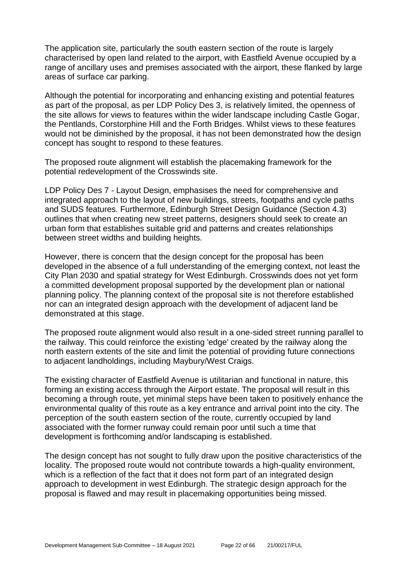The application site, particularly the south eastern section of the route is largely characterised by open land related to the airport, with Eastfield Avenue occupied by a range of ancillary uses and premises associated with the airport, these flanked by large areas of surface car parking.

Although the potential for incorporating and enhancing existing and potential features as part of the proposal, as per LDP Policy Des 3, is relatively limited, the openness of the site allows for views to features within the wider landscape including Castle Gogar, the Pentlands, Corstorphine Hill and the Forth Bridges. Whilst views to these features would not be diminished by the proposal, it has not been demonstrated how the design concept has sought to respond to these features.

The proposed route alignment will establish the placemaking framework for the potential redevelopment of the Crosswinds site.

LDP Policy Des 7 - Layout Design, emphasises the need for comprehensive and integrated approach to the layout of new buildings, streets, footpaths and cycle paths and SUDS features. Furthermore, Edinburgh Street Design Guidance (Section 4.3) outlines that when creating new street patterns, designers should seek to create an urban form that establishes suitable grid and patterns and creates relationships between street widths and building heights.

However, there is concern that the design concept for the proposal has been developed in the absence of a full understanding of the emerging context, not least the City Plan 2030 and spatial strategy for West Edinburgh. Crosswinds does not yet form a committed development proposal supported by the development plan or national planning policy. The planning context of the proposal site is not therefore established nor can an integrated design approach with the development of adjacent land be demonstrated at this stage.

The proposed route alignment would also result in a one-sided street running parallel to the railway. This could reinforce the existing 'edge' created by the railway along the north eastern extents of the site and limit the potential of providing future connections to adjacent landholdings, including Maybury/West Craigs.

The existing character of Eastfield Avenue is utilitarian and functional in nature, this forming an existing access through the Airport estate. The proposal will result in this becoming a through route, yet minimal steps have been taken to positively enhance the environmental quality of this route as a key entrance and arrival point into the city. The perception of the south eastern section of the route, currently occupied by land associated with the former runway could remain poor until such a time that development is forthcoming and/or landscaping is established.

The design concept has not sought to fully draw upon the positive characteristics of the locality. The proposed route would not contribute towards a high-quality environment, which is a reflection of the fact that it does not form part of an integrated design approach to development in west Edinburgh. The strategic design approach for the proposal is flawed and may result in placemaking opportunities being missed.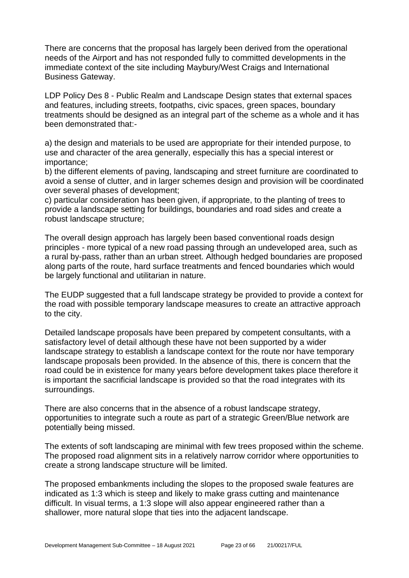There are concerns that the proposal has largely been derived from the operational needs of the Airport and has not responded fully to committed developments in the immediate context of the site including Maybury/West Craigs and International Business Gateway.

LDP Policy Des 8 - Public Realm and Landscape Design states that external spaces and features, including streets, footpaths, civic spaces, green spaces, boundary treatments should be designed as an integral part of the scheme as a whole and it has been demonstrated that:-

a) the design and materials to be used are appropriate for their intended purpose, to use and character of the area generally, especially this has a special interest or importance;

b) the different elements of paving, landscaping and street furniture are coordinated to avoid a sense of clutter, and in larger schemes design and provision will be coordinated over several phases of development;

c) particular consideration has been given, if appropriate, to the planting of trees to provide a landscape setting for buildings, boundaries and road sides and create a robust landscape structure;

The overall design approach has largely been based conventional roads design principles - more typical of a new road passing through an undeveloped area, such as a rural by-pass, rather than an urban street. Although hedged boundaries are proposed along parts of the route, hard surface treatments and fenced boundaries which would be largely functional and utilitarian in nature.

The EUDP suggested that a full landscape strategy be provided to provide a context for the road with possible temporary landscape measures to create an attractive approach to the city.

Detailed landscape proposals have been prepared by competent consultants, with a satisfactory level of detail although these have not been supported by a wider landscape strategy to establish a landscape context for the route nor have temporary landscape proposals been provided. In the absence of this, there is concern that the road could be in existence for many years before development takes place therefore it is important the sacrificial landscape is provided so that the road integrates with its surroundings.

There are also concerns that in the absence of a robust landscape strategy, opportunities to integrate such a route as part of a strategic Green/Blue network are potentially being missed.

The extents of soft landscaping are minimal with few trees proposed within the scheme. The proposed road alignment sits in a relatively narrow corridor where opportunities to create a strong landscape structure will be limited.

The proposed embankments including the slopes to the proposed swale features are indicated as 1:3 which is steep and likely to make grass cutting and maintenance difficult. In visual terms, a 1:3 slope will also appear engineered rather than a shallower, more natural slope that ties into the adjacent landscape.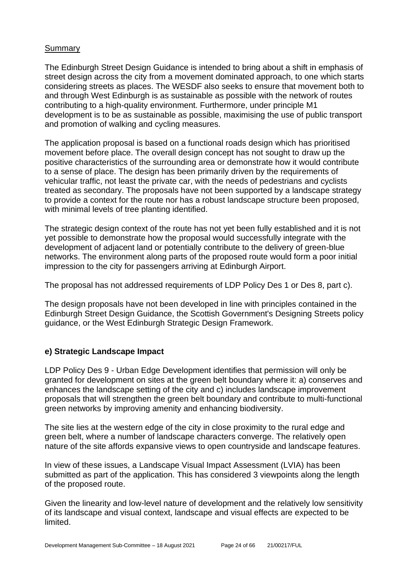#### **Summary**

The Edinburgh Street Design Guidance is intended to bring about a shift in emphasis of street design across the city from a movement dominated approach, to one which starts considering streets as places. The WESDF also seeks to ensure that movement both to and through West Edinburgh is as sustainable as possible with the network of routes contributing to a high-quality environment. Furthermore, under principle M1 development is to be as sustainable as possible, maximising the use of public transport and promotion of walking and cycling measures.

The application proposal is based on a functional roads design which has prioritised movement before place. The overall design concept has not sought to draw up the positive characteristics of the surrounding area or demonstrate how it would contribute to a sense of place. The design has been primarily driven by the requirements of vehicular traffic, not least the private car, with the needs of pedestrians and cyclists treated as secondary. The proposals have not been supported by a landscape strategy to provide a context for the route nor has a robust landscape structure been proposed, with minimal levels of tree planting identified.

The strategic design context of the route has not yet been fully established and it is not yet possible to demonstrate how the proposal would successfully integrate with the development of adjacent land or potentially contribute to the delivery of green-blue networks. The environment along parts of the proposed route would form a poor initial impression to the city for passengers arriving at Edinburgh Airport.

The proposal has not addressed requirements of LDP Policy Des 1 or Des 8, part c).

The design proposals have not been developed in line with principles contained in the Edinburgh Street Design Guidance, the Scottish Government's Designing Streets policy guidance, or the West Edinburgh Strategic Design Framework.

# **e) Strategic Landscape Impact**

LDP Policy Des 9 - Urban Edge Development identifies that permission will only be granted for development on sites at the green belt boundary where it: a) conserves and enhances the landscape setting of the city and c) includes landscape improvement proposals that will strengthen the green belt boundary and contribute to multi-functional green networks by improving amenity and enhancing biodiversity.

The site lies at the western edge of the city in close proximity to the rural edge and green belt, where a number of landscape characters converge. The relatively open nature of the site affords expansive views to open countryside and landscape features.

In view of these issues, a Landscape Visual Impact Assessment (LVIA) has been submitted as part of the application. This has considered 3 viewpoints along the length of the proposed route.

Given the linearity and low-level nature of development and the relatively low sensitivity of its landscape and visual context, landscape and visual effects are expected to be limited.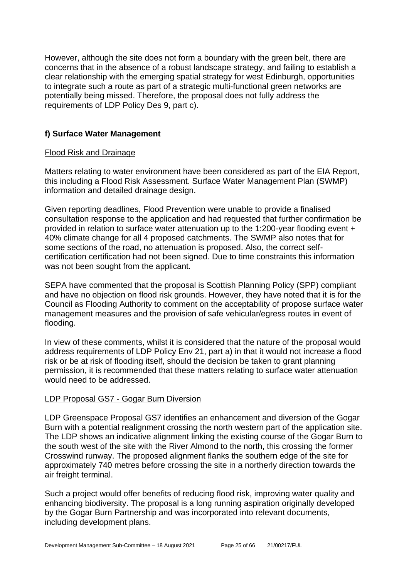However, although the site does not form a boundary with the green belt, there are concerns that in the absence of a robust landscape strategy, and failing to establish a clear relationship with the emerging spatial strategy for west Edinburgh, opportunities to integrate such a route as part of a strategic multi-functional green networks are potentially being missed. Therefore, the proposal does not fully address the requirements of LDP Policy Des 9, part c).

# **f) Surface Water Management**

#### Flood Risk and Drainage

Matters relating to water environment have been considered as part of the EIA Report, this including a Flood Risk Assessment. Surface Water Management Plan (SWMP) information and detailed drainage design.

Given reporting deadlines, Flood Prevention were unable to provide a finalised consultation response to the application and had requested that further confirmation be provided in relation to surface water attenuation up to the 1:200-year flooding event + 40% climate change for all 4 proposed catchments. The SWMP also notes that for some sections of the road, no attenuation is proposed. Also, the correct selfcertification certification had not been signed. Due to time constraints this information was not been sought from the applicant.

SEPA have commented that the proposal is Scottish Planning Policy (SPP) compliant and have no objection on flood risk grounds. However, they have noted that it is for the Council as Flooding Authority to comment on the acceptability of propose surface water management measures and the provision of safe vehicular/egress routes in event of flooding.

In view of these comments, whilst it is considered that the nature of the proposal would address requirements of LDP Policy Env 21, part a) in that it would not increase a flood risk or be at risk of flooding itself, should the decision be taken to grant planning permission, it is recommended that these matters relating to surface water attenuation would need to be addressed.

#### LDP Proposal GS7 - Gogar Burn Diversion

LDP Greenspace Proposal GS7 identifies an enhancement and diversion of the Gogar Burn with a potential realignment crossing the north western part of the application site. The LDP shows an indicative alignment linking the existing course of the Gogar Burn to the south west of the site with the River Almond to the north, this crossing the former Crosswind runway. The proposed alignment flanks the southern edge of the site for approximately 740 metres before crossing the site in a northerly direction towards the air freight terminal.

Such a project would offer benefits of reducing flood risk, improving water quality and enhancing biodiversity. The proposal is a long running aspiration originally developed by the Gogar Burn Partnership and was incorporated into relevant documents, including development plans.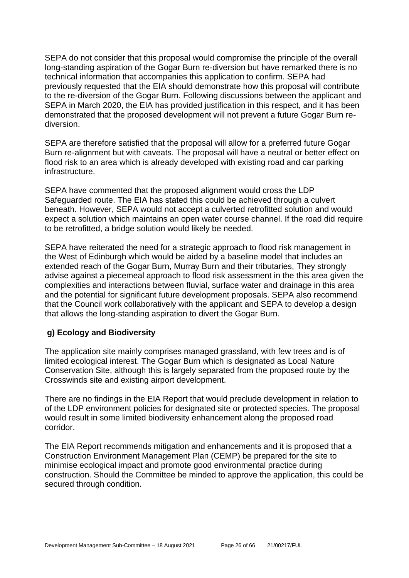SEPA do not consider that this proposal would compromise the principle of the overall long-standing aspiration of the Gogar Burn re-diversion but have remarked there is no technical information that accompanies this application to confirm. SEPA had previously requested that the EIA should demonstrate how this proposal will contribute to the re-diversion of the Gogar Burn. Following discussions between the applicant and SEPA in March 2020, the EIA has provided justification in this respect, and it has been demonstrated that the proposed development will not prevent a future Gogar Burn rediversion.

SEPA are therefore satisfied that the proposal will allow for a preferred future Gogar Burn re-alignment but with caveats. The proposal will have a neutral or better effect on flood risk to an area which is already developed with existing road and car parking infrastructure.

SEPA have commented that the proposed alignment would cross the LDP Safeguarded route. The EIA has stated this could be achieved through a culvert beneath. However, SEPA would not accept a culverted retrofitted solution and would expect a solution which maintains an open water course channel. If the road did require to be retrofitted, a bridge solution would likely be needed.

SEPA have reiterated the need for a strategic approach to flood risk management in the West of Edinburgh which would be aided by a baseline model that includes an extended reach of the Gogar Burn, Murray Burn and their tributaries, They strongly advise against a piecemeal approach to flood risk assessment in the this area given the complexities and interactions between fluvial, surface water and drainage in this area and the potential for significant future development proposals. SEPA also recommend that the Council work collaboratively with the applicant and SEPA to develop a design that allows the long-standing aspiration to divert the Gogar Burn.

# **g) Ecology and Biodiversity**

The application site mainly comprises managed grassland, with few trees and is of limited ecological interest. The Gogar Burn which is designated as Local Nature Conservation Site, although this is largely separated from the proposed route by the Crosswinds site and existing airport development.

There are no findings in the EIA Report that would preclude development in relation to of the LDP environment policies for designated site or protected species. The proposal would result in some limited biodiversity enhancement along the proposed road corridor.

The EIA Report recommends mitigation and enhancements and it is proposed that a Construction Environment Management Plan (CEMP) be prepared for the site to minimise ecological impact and promote good environmental practice during construction. Should the Committee be minded to approve the application, this could be secured through condition.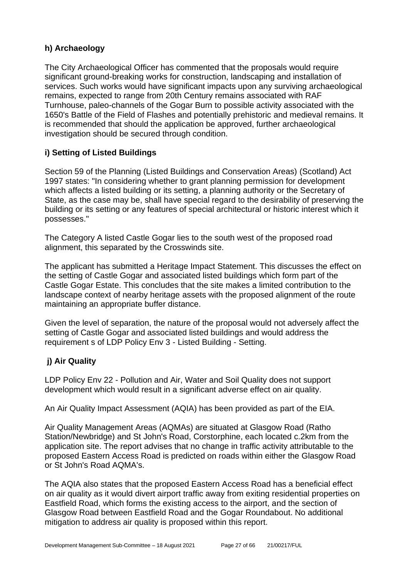# **h) Archaeology**

The City Archaeological Officer has commented that the proposals would require significant ground-breaking works for construction, landscaping and installation of services. Such works would have significant impacts upon any surviving archaeological remains, expected to range from 20th Century remains associated with RAF Turnhouse, paleo-channels of the Gogar Burn to possible activity associated with the 1650's Battle of the Field of Flashes and potentially prehistoric and medieval remains. It is recommended that should the application be approved, further archaeological investigation should be secured through condition.

# **i) Setting of Listed Buildings**

Section 59 of the Planning (Listed Buildings and Conservation Areas) (Scotland) Act 1997 states: "In considering whether to grant planning permission for development which affects a listed building or its setting, a planning authority or the Secretary of State, as the case may be, shall have special regard to the desirability of preserving the building or its setting or any features of special architectural or historic interest which it possesses."

The Category A listed Castle Gogar lies to the south west of the proposed road alignment, this separated by the Crosswinds site.

The applicant has submitted a Heritage Impact Statement. This discusses the effect on the setting of Castle Gogar and associated listed buildings which form part of the Castle Gogar Estate. This concludes that the site makes a limited contribution to the landscape context of nearby heritage assets with the proposed alignment of the route maintaining an appropriate buffer distance.

Given the level of separation, the nature of the proposal would not adversely affect the setting of Castle Gogar and associated listed buildings and would address the requirement s of LDP Policy Env 3 - Listed Building - Setting.

# **j) Air Quality**

LDP Policy Env 22 - Pollution and Air, Water and Soil Quality does not support development which would result in a significant adverse effect on air quality.

An Air Quality Impact Assessment (AQIA) has been provided as part of the EIA.

Air Quality Management Areas (AQMAs) are situated at Glasgow Road (Ratho Station/Newbridge) and St John's Road, Corstorphine, each located c.2km from the application site. The report advises that no change in traffic activity attributable to the proposed Eastern Access Road is predicted on roads within either the Glasgow Road or St John's Road AQMA's.

The AQIA also states that the proposed Eastern Access Road has a beneficial effect on air quality as it would divert airport traffic away from exiting residential properties on Eastfield Road, which forms the existing access to the airport, and the section of Glasgow Road between Eastfield Road and the Gogar Roundabout. No additional mitigation to address air quality is proposed within this report.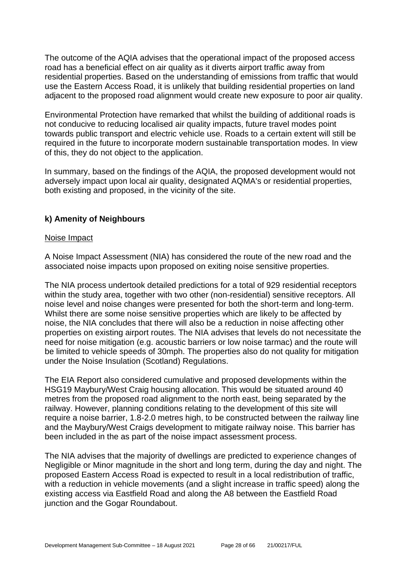The outcome of the AQIA advises that the operational impact of the proposed access road has a beneficial effect on air quality as it diverts airport traffic away from residential properties. Based on the understanding of emissions from traffic that would use the Eastern Access Road, it is unlikely that building residential properties on land adjacent to the proposed road alignment would create new exposure to poor air quality.

Environmental Protection have remarked that whilst the building of additional roads is not conducive to reducing localised air quality impacts, future travel modes point towards public transport and electric vehicle use. Roads to a certain extent will still be required in the future to incorporate modern sustainable transportation modes. In view of this, they do not object to the application.

In summary, based on the findings of the AQIA, the proposed development would not adversely impact upon local air quality, designated AQMA's or residential properties, both existing and proposed, in the vicinity of the site.

#### **k) Amenity of Neighbours**

#### Noise Impact

A Noise Impact Assessment (NIA) has considered the route of the new road and the associated noise impacts upon proposed on exiting noise sensitive properties.

The NIA process undertook detailed predictions for a total of 929 residential receptors within the study area, together with two other (non-residential) sensitive receptors. All noise level and noise changes were presented for both the short-term and long-term. Whilst there are some noise sensitive properties which are likely to be affected by noise, the NIA concludes that there will also be a reduction in noise affecting other properties on existing airport routes. The NIA advises that levels do not necessitate the need for noise mitigation (e.g. acoustic barriers or low noise tarmac) and the route will be limited to vehicle speeds of 30mph. The properties also do not quality for mitigation under the Noise Insulation (Scotland) Regulations.

The EIA Report also considered cumulative and proposed developments within the HSG19 Maybury/West Craig housing allocation. This would be situated around 40 metres from the proposed road alignment to the north east, being separated by the railway. However, planning conditions relating to the development of this site will require a noise barrier, 1.8-2.0 metres high, to be constructed between the railway line and the Maybury/West Craigs development to mitigate railway noise. This barrier has been included in the as part of the noise impact assessment process.

The NIA advises that the majority of dwellings are predicted to experience changes of Negligible or Minor magnitude in the short and long term, during the day and night. The proposed Eastern Access Road is expected to result in a local redistribution of traffic, with a reduction in vehicle movements (and a slight increase in traffic speed) along the existing access via Eastfield Road and along the A8 between the Eastfield Road junction and the Gogar Roundabout.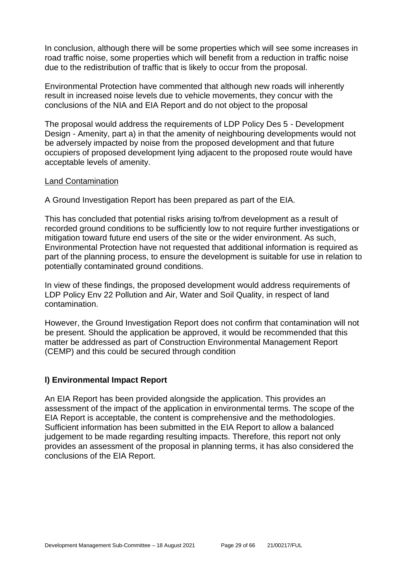In conclusion, although there will be some properties which will see some increases in road traffic noise, some properties which will benefit from a reduction in traffic noise due to the redistribution of traffic that is likely to occur from the proposal.

Environmental Protection have commented that although new roads will inherently result in increased noise levels due to vehicle movements, they concur with the conclusions of the NIA and EIA Report and do not object to the proposal

The proposal would address the requirements of LDP Policy Des 5 - Development Design - Amenity, part a) in that the amenity of neighbouring developments would not be adversely impacted by noise from the proposed development and that future occupiers of proposed development lying adjacent to the proposed route would have acceptable levels of amenity.

#### Land Contamination

A Ground Investigation Report has been prepared as part of the EIA.

This has concluded that potential risks arising to/from development as a result of recorded ground conditions to be sufficiently low to not require further investigations or mitigation toward future end users of the site or the wider environment. As such, Environmental Protection have not requested that additional information is required as part of the planning process, to ensure the development is suitable for use in relation to potentially contaminated ground conditions.

In view of these findings, the proposed development would address requirements of LDP Policy Env 22 Pollution and Air, Water and Soil Quality, in respect of land contamination.

However, the Ground Investigation Report does not confirm that contamination will not be present. Should the application be approved, it would be recommended that this matter be addressed as part of Construction Environmental Management Report (CEMP) and this could be secured through condition

#### **l) Environmental Impact Report**

An EIA Report has been provided alongside the application. This provides an assessment of the impact of the application in environmental terms. The scope of the EIA Report is acceptable, the content is comprehensive and the methodologies. Sufficient information has been submitted in the EIA Report to allow a balanced judgement to be made regarding resulting impacts. Therefore, this report not only provides an assessment of the proposal in planning terms, it has also considered the conclusions of the EIA Report.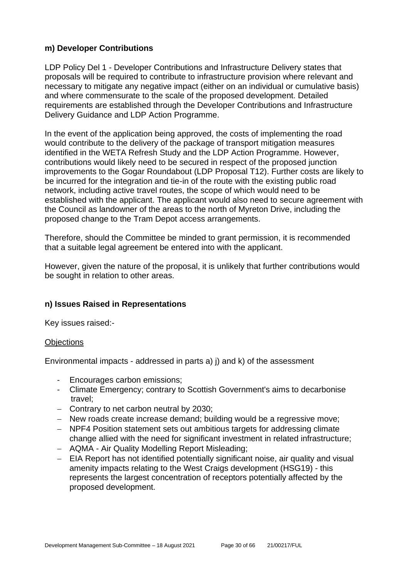# **m) Developer Contributions**

LDP Policy Del 1 - Developer Contributions and Infrastructure Delivery states that proposals will be required to contribute to infrastructure provision where relevant and necessary to mitigate any negative impact (either on an individual or cumulative basis) and where commensurate to the scale of the proposed development. Detailed requirements are established through the Developer Contributions and Infrastructure Delivery Guidance and LDP Action Programme.

In the event of the application being approved, the costs of implementing the road would contribute to the delivery of the package of transport mitigation measures identified in the WETA Refresh Study and the LDP Action Programme. However, contributions would likely need to be secured in respect of the proposed junction improvements to the Gogar Roundabout (LDP Proposal T12). Further costs are likely to be incurred for the integration and tie-in of the route with the existing public road network, including active travel routes, the scope of which would need to be established with the applicant. The applicant would also need to secure agreement with the Council as landowner of the areas to the north of Myreton Drive, including the proposed change to the Tram Depot access arrangements.

Therefore, should the Committee be minded to grant permission, it is recommended that a suitable legal agreement be entered into with the applicant.

However, given the nature of the proposal, it is unlikely that further contributions would be sought in relation to other areas.

#### **n) Issues Raised in Representations**

Key issues raised:-

#### **Objections**

Environmental impacts - addressed in parts a) j) and k) of the assessment

- Encourages carbon emissions;
- Climate Emergency; contrary to Scottish Government's aims to decarbonise travel;
- − Contrary to net carbon neutral by 2030;
- − New roads create increase demand; building would be a regressive move;
- − NPF4 Position statement sets out ambitious targets for addressing climate change allied with the need for significant investment in related infrastructure;
- − AQMA Air Quality Modelling Report Misleading;
- − EIA Report has not identified potentially significant noise, air quality and visual amenity impacts relating to the West Craigs development (HSG19) - this represents the largest concentration of receptors potentially affected by the proposed development.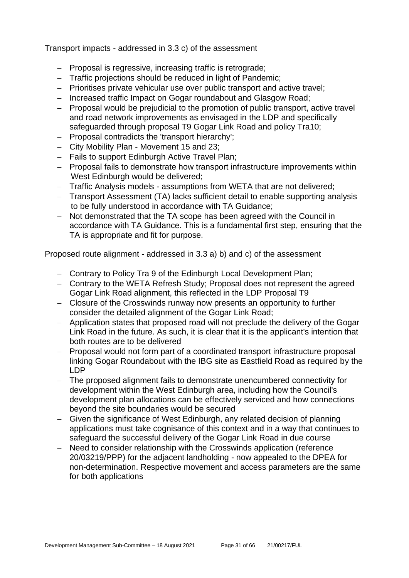Transport impacts - addressed in 3.3 c) of the assessment

- − Proposal is regressive, increasing traffic is retrograde;
- − Traffic projections should be reduced in light of Pandemic;
- − Prioritises private vehicular use over public transport and active travel;
- − Increased traffic Impact on Gogar roundabout and Glasgow Road;
- − Proposal would be prejudicial to the promotion of public transport, active travel and road network improvements as envisaged in the LDP and specifically safeguarded through proposal T9 Gogar Link Road and policy Tra10;
- − Proposal contradicts the 'transport hierarchy';
- − City Mobility Plan Movement 15 and 23;
- − Fails to support Edinburgh Active Travel Plan;
- − Proposal fails to demonstrate how transport infrastructure improvements within West Edinburgh would be delivered;
- − Traffic Analysis models assumptions from WETA that are not delivered;
- − Transport Assessment (TA) lacks sufficient detail to enable supporting analysis to be fully understood in accordance with TA Guidance;
- − Not demonstrated that the TA scope has been agreed with the Council in accordance with TA Guidance. This is a fundamental first step, ensuring that the TA is appropriate and fit for purpose.

Proposed route alignment - addressed in 3.3 a) b) and c) of the assessment

- − Contrary to Policy Tra 9 of the Edinburgh Local Development Plan;
- − Contrary to the WETA Refresh Study; Proposal does not represent the agreed Gogar Link Road alignment, this reflected in the LDP Proposal T9
- − Closure of the Crosswinds runway now presents an opportunity to further consider the detailed alignment of the Gogar Link Road;
- − Application states that proposed road will not preclude the delivery of the Gogar Link Road in the future. As such, it is clear that it is the applicant's intention that both routes are to be delivered
- − Proposal would not form part of a coordinated transport infrastructure proposal linking Gogar Roundabout with the IBG site as Eastfield Road as required by the LDP
- − The proposed alignment fails to demonstrate unencumbered connectivity for development within the West Edinburgh area, including how the Council's development plan allocations can be effectively serviced and how connections beyond the site boundaries would be secured
- − Given the significance of West Edinburgh, any related decision of planning applications must take cognisance of this context and in a way that continues to safeguard the successful delivery of the Gogar Link Road in due course
- − Need to consider relationship with the Crosswinds application (reference 20/03219/PPP) for the adjacent landholding - now appealed to the DPEA for non-determination. Respective movement and access parameters are the same for both applications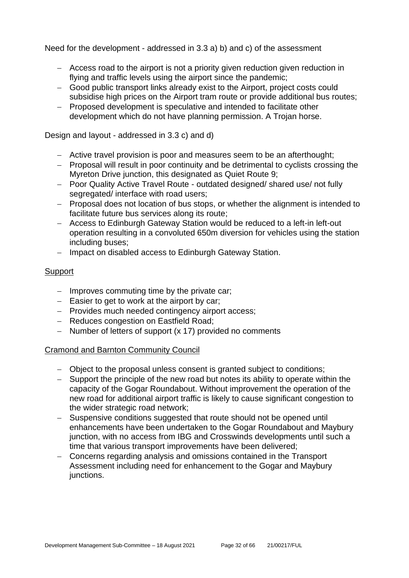Need for the development - addressed in 3.3 a) b) and c) of the assessment

- − Access road to the airport is not a priority given reduction given reduction in flying and traffic levels using the airport since the pandemic;
- − Good public transport links already exist to the Airport, project costs could subsidise high prices on the Airport tram route or provide additional bus routes;
- − Proposed development is speculative and intended to facilitate other development which do not have planning permission. A Trojan horse.

Design and layout - addressed in 3.3 c) and d)

- − Active travel provision is poor and measures seem to be an afterthought;
- − Proposal will result in poor continuity and be detrimental to cyclists crossing the Myreton Drive junction, this designated as Quiet Route 9;
- − Poor Quality Active Travel Route outdated designed/ shared use/ not fully segregated/ interface with road users;
- − Proposal does not location of bus stops, or whether the alignment is intended to facilitate future bus services along its route;
- − Access to Edinburgh Gateway Station would be reduced to a left-in left-out operation resulting in a convoluted 650m diversion for vehicles using the station including buses;
- − Impact on disabled access to Edinburgh Gateway Station.

#### **Support**

- − Improves commuting time by the private car;
- − Easier to get to work at the airport by car;
- − Provides much needed contingency airport access;
- − Reduces congestion on Eastfield Road;
- − Number of letters of support (x 17) provided no comments

#### Cramond and Barnton Community Council

- − Object to the proposal unless consent is granted subject to conditions;
- − Support the principle of the new road but notes its ability to operate within the capacity of the Gogar Roundabout. Without improvement the operation of the new road for additional airport traffic is likely to cause significant congestion to the wider strategic road network;
- − Suspensive conditions suggested that route should not be opened until enhancements have been undertaken to the Gogar Roundabout and Maybury junction, with no access from IBG and Crosswinds developments until such a time that various transport improvements have been delivered;
- − Concerns regarding analysis and omissions contained in the Transport Assessment including need for enhancement to the Gogar and Maybury junctions.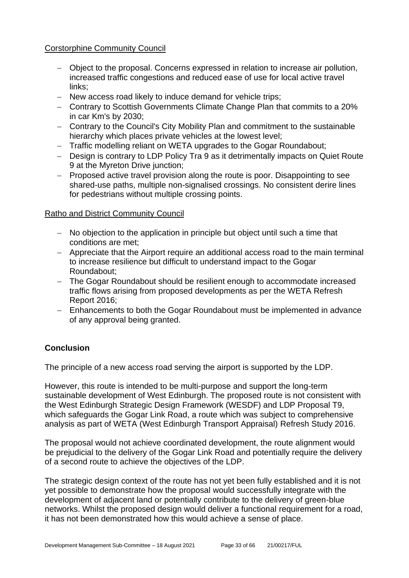#### Corstorphine Community Council

- − Object to the proposal. Concerns expressed in relation to increase air pollution, increased traffic congestions and reduced ease of use for local active travel links;
- − New access road likely to induce demand for vehicle trips;
- − Contrary to Scottish Governments Climate Change Plan that commits to a 20% in car Km's by 2030;
- − Contrary to the Council's City Mobility Plan and commitment to the sustainable hierarchy which places private vehicles at the lowest level;
- − Traffic modelling reliant on WETA upgrades to the Gogar Roundabout;
- − Design is contrary to LDP Policy Tra 9 as it detrimentally impacts on Quiet Route 9 at the Myreton Drive junction;
- − Proposed active travel provision along the route is poor. Disappointing to see shared-use paths, multiple non-signalised crossings. No consistent derire lines for pedestrians without multiple crossing points.

#### Ratho and District Community Council

- − No objection to the application in principle but object until such a time that conditions are met;
- − Appreciate that the Airport require an additional access road to the main terminal to increase resilience but difficult to understand impact to the Gogar Roundabout;
- − The Gogar Roundabout should be resilient enough to accommodate increased traffic flows arising from proposed developments as per the WETA Refresh Report 2016;
- − Enhancements to both the Gogar Roundabout must be implemented in advance of any approval being granted.

# **Conclusion**

The principle of a new access road serving the airport is supported by the LDP.

However, this route is intended to be multi-purpose and support the long-term sustainable development of West Edinburgh. The proposed route is not consistent with the West Edinburgh Strategic Design Framework (WESDF) and LDP Proposal T9, which safeguards the Gogar Link Road, a route which was subject to comprehensive analysis as part of WETA (West Edinburgh Transport Appraisal) Refresh Study 2016.

The proposal would not achieve coordinated development, the route alignment would be prejudicial to the delivery of the Gogar Link Road and potentially require the delivery of a second route to achieve the objectives of the LDP.

The strategic design context of the route has not yet been fully established and it is not yet possible to demonstrate how the proposal would successfully integrate with the development of adjacent land or potentially contribute to the delivery of green-blue networks. Whilst the proposed design would deliver a functional requirement for a road, it has not been demonstrated how this would achieve a sense of place.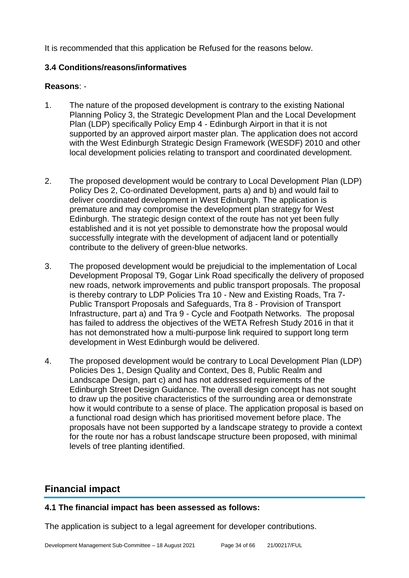It is recommended that this application be Refused for the reasons below.

## **3.4 Conditions/reasons/informatives**

#### **Reasons**: -

- 1. The nature of the proposed development is contrary to the existing National Planning Policy 3, the Strategic Development Plan and the Local Development Plan (LDP) specifically Policy Emp 4 - Edinburgh Airport in that it is not supported by an approved airport master plan. The application does not accord with the West Edinburgh Strategic Design Framework (WESDF) 2010 and other local development policies relating to transport and coordinated development.
- 2. The proposed development would be contrary to Local Development Plan (LDP) Policy Des 2, Co-ordinated Development, parts a) and b) and would fail to deliver coordinated development in West Edinburgh. The application is premature and may compromise the development plan strategy for West Edinburgh. The strategic design context of the route has not yet been fully established and it is not yet possible to demonstrate how the proposal would successfully integrate with the development of adjacent land or potentially contribute to the delivery of green-blue networks.
- 3. The proposed development would be prejudicial to the implementation of Local Development Proposal T9, Gogar Link Road specifically the delivery of proposed new roads, network improvements and public transport proposals. The proposal is thereby contrary to LDP Policies Tra 10 - New and Existing Roads, Tra 7- Public Transport Proposals and Safeguards, Tra 8 - Provision of Transport Infrastructure, part a) and Tra 9 - Cycle and Footpath Networks. The proposal has failed to address the objectives of the WETA Refresh Study 2016 in that it has not demonstrated how a multi-purpose link required to support long term development in West Edinburgh would be delivered.
- 4. The proposed development would be contrary to Local Development Plan (LDP) Policies Des 1, Design Quality and Context, Des 8, Public Realm and Landscape Design, part c) and has not addressed requirements of the Edinburgh Street Design Guidance. The overall design concept has not sought to draw up the positive characteristics of the surrounding area or demonstrate how it would contribute to a sense of place. The application proposal is based on a functional road design which has prioritised movement before place. The proposals have not been supported by a landscape strategy to provide a context for the route nor has a robust landscape structure been proposed, with minimal levels of tree planting identified.

# **Financial impact**

# **4.1 The financial impact has been assessed as follows:**

The application is subject to a legal agreement for developer contributions.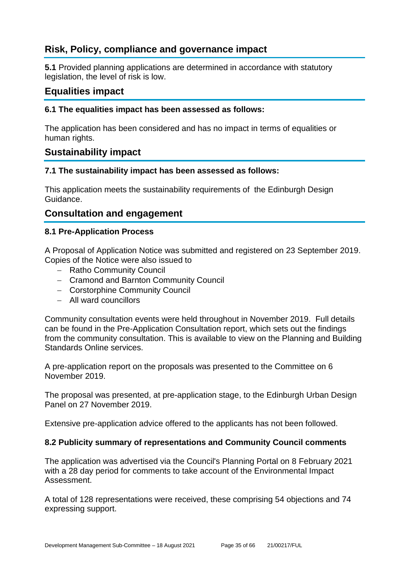# **Risk, Policy, compliance and governance impact**

**5.1** Provided planning applications are determined in accordance with statutory legislation, the level of risk is low.

# **Equalities impact**

#### **6.1 The equalities impact has been assessed as follows:**

The application has been considered and has no impact in terms of equalities or human rights.

# **Sustainability impact**

#### **7.1 The sustainability impact has been assessed as follows:**

This application meets the sustainability requirements of the Edinburgh Design Guidance.

# **Consultation and engagement**

#### **8.1 Pre-Application Process**

A Proposal of Application Notice was submitted and registered on 23 September 2019. Copies of the Notice were also issued to

- − Ratho Community Council
- − Cramond and Barnton Community Council
- − Corstorphine Community Council
- − All ward councillors

Community consultation events were held throughout in November 2019. Full details can be found in the Pre-Application Consultation report, which sets out the findings from the community consultation. This is available to view on the Planning and Building Standards Online services.

A pre-application report on the proposals was presented to the Committee on 6 November 2019.

The proposal was presented, at pre-application stage, to the Edinburgh Urban Design Panel on 27 November 2019.

Extensive pre-application advice offered to the applicants has not been followed.

#### **8.2 Publicity summary of representations and Community Council comments**

The application was advertised via the Council's Planning Portal on 8 February 2021 with a 28 day period for comments to take account of the Environmental Impact Assessment.

A total of 128 representations were received, these comprising 54 objections and 74 expressing support.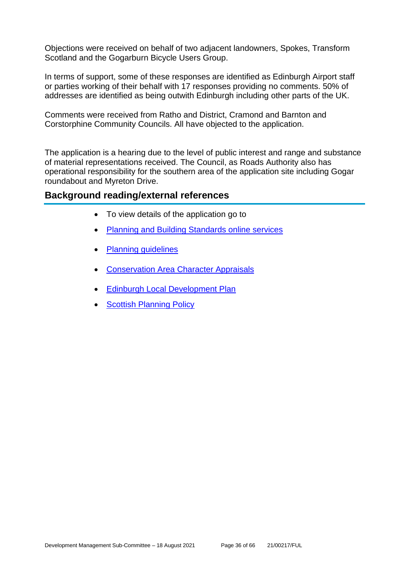Objections were received on behalf of two adjacent landowners, Spokes, Transform Scotland and the Gogarburn Bicycle Users Group.

In terms of support, some of these responses are identified as Edinburgh Airport staff or parties working of their behalf with 17 responses providing no comments. 50% of addresses are identified as being outwith Edinburgh including other parts of the UK.

Comments were received from Ratho and District, Cramond and Barnton and Corstorphine Community Councils. All have objected to the application.

The application is a hearing due to the level of public interest and range and substance of material representations received. The Council, as Roads Authority also has operational responsibility for the southern area of the application site including Gogar roundabout and Myreton Drive.

#### **Background reading/external references**

- To view details of the application go to
- [Planning and Building Standards online services](https://citydev-portal.edinburgh.gov.uk/idoxpa-web/search.do?action=simple&searchType=Application)
- [Planning guidelines](http://www.edinburgh.gov.uk/planningguidelines)
- [Conservation Area Character Appraisals](http://www.edinburgh.gov.uk/characterappraisals)
- [Edinburgh Local Development Plan](http://www.edinburgh.gov.uk/localdevelopmentplan)
- **[Scottish Planning Policy](http://www.scotland.gov.uk/Topics/Built-Environment/planning/Policy)**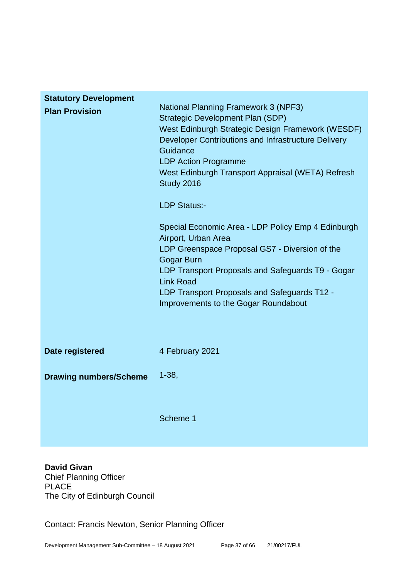| <b>Statutory Development</b>  |                                                                                                                                                                                                                                                                                                                                                                                                                                                                                                                                                                                                                                                              |
|-------------------------------|--------------------------------------------------------------------------------------------------------------------------------------------------------------------------------------------------------------------------------------------------------------------------------------------------------------------------------------------------------------------------------------------------------------------------------------------------------------------------------------------------------------------------------------------------------------------------------------------------------------------------------------------------------------|
| <b>Plan Provision</b>         | <b>National Planning Framework 3 (NPF3)</b><br><b>Strategic Development Plan (SDP)</b><br>West Edinburgh Strategic Design Framework (WESDF)<br>Developer Contributions and Infrastructure Delivery<br>Guidance<br><b>LDP Action Programme</b><br>West Edinburgh Transport Appraisal (WETA) Refresh<br>Study 2016<br><b>LDP Status:-</b><br>Special Economic Area - LDP Policy Emp 4 Edinburgh<br>Airport, Urban Area<br>LDP Greenspace Proposal GS7 - Diversion of the<br><b>Gogar Burn</b><br>LDP Transport Proposals and Safeguards T9 - Gogar<br><b>Link Road</b><br>LDP Transport Proposals and Safeguards T12 -<br>Improvements to the Gogar Roundabout |
| Date registered               | 4 February 2021                                                                                                                                                                                                                                                                                                                                                                                                                                                                                                                                                                                                                                              |
| <b>Drawing numbers/Scheme</b> | $1 - 38,$                                                                                                                                                                                                                                                                                                                                                                                                                                                                                                                                                                                                                                                    |
|                               | Scheme 1                                                                                                                                                                                                                                                                                                                                                                                                                                                                                                                                                                                                                                                     |

**David Givan** Chief Planning Officer PLACE The City of Edinburgh Council

Contact: Francis Newton, Senior Planning Officer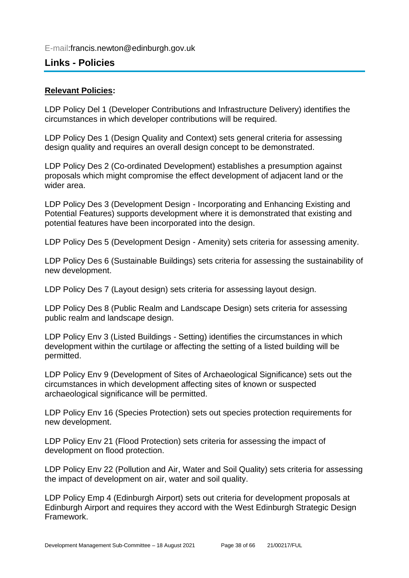# **Links - Policies**

# **Relevant Policies:**

LDP Policy Del 1 (Developer Contributions and Infrastructure Delivery) identifies the circumstances in which developer contributions will be required.

LDP Policy Des 1 (Design Quality and Context) sets general criteria for assessing design quality and requires an overall design concept to be demonstrated.

LDP Policy Des 2 (Co-ordinated Development) establishes a presumption against proposals which might compromise the effect development of adjacent land or the wider area.

LDP Policy Des 3 (Development Design - Incorporating and Enhancing Existing and Potential Features) supports development where it is demonstrated that existing and potential features have been incorporated into the design.

LDP Policy Des 5 (Development Design - Amenity) sets criteria for assessing amenity.

LDP Policy Des 6 (Sustainable Buildings) sets criteria for assessing the sustainability of new development.

LDP Policy Des 7 (Layout design) sets criteria for assessing layout design.

LDP Policy Des 8 (Public Realm and Landscape Design) sets criteria for assessing public realm and landscape design.

LDP Policy Env 3 (Listed Buildings - Setting) identifies the circumstances in which development within the curtilage or affecting the setting of a listed building will be permitted.

LDP Policy Env 9 (Development of Sites of Archaeological Significance) sets out the circumstances in which development affecting sites of known or suspected archaeological significance will be permitted.

LDP Policy Env 16 (Species Protection) sets out species protection requirements for new development.

LDP Policy Env 21 (Flood Protection) sets criteria for assessing the impact of development on flood protection.

LDP Policy Env 22 (Pollution and Air, Water and Soil Quality) sets criteria for assessing the impact of development on air, water and soil quality.

LDP Policy Emp 4 (Edinburgh Airport) sets out criteria for development proposals at Edinburgh Airport and requires they accord with the West Edinburgh Strategic Design Framework.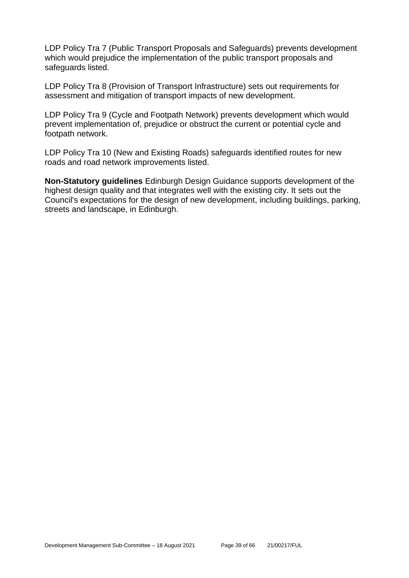LDP Policy Tra 7 (Public Transport Proposals and Safeguards) prevents development which would prejudice the implementation of the public transport proposals and safeguards listed.

LDP Policy Tra 8 (Provision of Transport Infrastructure) sets out requirements for assessment and mitigation of transport impacts of new development.

LDP Policy Tra 9 (Cycle and Footpath Network) prevents development which would prevent implementation of, prejudice or obstruct the current or potential cycle and footpath network.

LDP Policy Tra 10 (New and Existing Roads) safeguards identified routes for new roads and road network improvements listed.

**Non-Statutory guidelines** Edinburgh Design Guidance supports development of the highest design quality and that integrates well with the existing city. It sets out the Council's expectations for the design of new development, including buildings, parking, streets and landscape, in Edinburgh.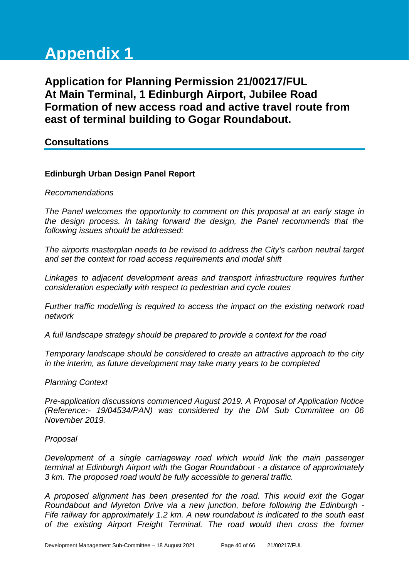# **Appendix 1**

**Application for Planning Permission 21/00217/FUL At Main Terminal, 1 Edinburgh Airport, Jubilee Road Formation of new access road and active travel route from east of terminal building to Gogar Roundabout.**

# **Consultations**

#### **Edinburgh Urban Design Panel Report**

#### *Recommendations*

*The Panel welcomes the opportunity to comment on this proposal at an early stage in the design process. In taking forward the design, the Panel recommends that the following issues should be addressed:* 

*The airports masterplan needs to be revised to address the City's carbon neutral target and set the context for road access requirements and modal shift*

*Linkages to adjacent development areas and transport infrastructure requires further consideration especially with respect to pedestrian and cycle routes*

*Further traffic modelling is required to access the impact on the existing network road network* 

*A full landscape strategy should be prepared to provide a context for the road*

*Temporary landscape should be considered to create an attractive approach to the city in the interim, as future development may take many years to be completed* 

#### *Planning Context*

*Pre-application discussions commenced August 2019. A Proposal of Application Notice (Reference:- 19/04534/PAN) was considered by the DM Sub Committee on 06 November 2019.*

#### *Proposal*

*Development of a single carriageway road which would link the main passenger terminal at Edinburgh Airport with the Gogar Roundabout - a distance of approximately 3 km. The proposed road would be fully accessible to general traffic.*

*A proposed alignment has been presented for the road. This would exit the Gogar Roundabout and Myreton Drive via a new junction, before following the Edinburgh - Fife railway for approximately 1.2 km. A new roundabout is indicated to the south east of the existing Airport Freight Terminal. The road would then cross the former*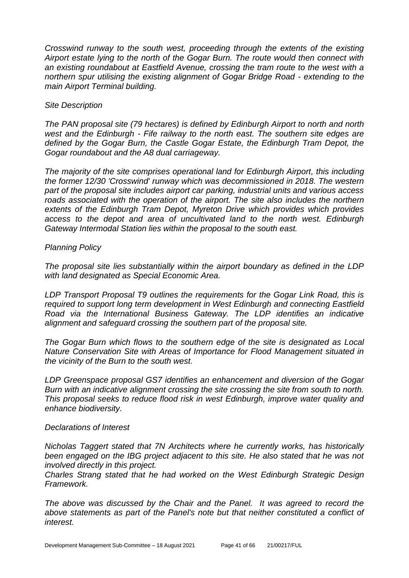*Crosswind runway to the south west, proceeding through the extents of the existing Airport estate lying to the north of the Gogar Burn. The route would then connect with an existing roundabout at Eastfield Avenue, crossing the tram route to the west with a northern spur utilising the existing alignment of Gogar Bridge Road - extending to the main Airport Terminal building.*

#### *Site Description*

*The PAN proposal site (79 hectares) is defined by Edinburgh Airport to north and north west and the Edinburgh - Fife railway to the north east. The southern site edges are defined by the Gogar Burn, the Castle Gogar Estate, the Edinburgh Tram Depot, the Gogar roundabout and the A8 dual carriageway.*

*The majority of the site comprises operational land for Edinburgh Airport, this including the former 12/30 'Crosswind' runway which was decommissioned in 2018. The western part of the proposal site includes airport car parking, industrial units and various access roads associated with the operation of the airport. The site also includes the northern extents of the Edinburgh Tram Depot, Myreton Drive which provides which provides access to the depot and area of uncultivated land to the north west. Edinburgh Gateway Intermodal Station lies within the proposal to the south east.*

#### *Planning Policy*

*The proposal site lies substantially within the airport boundary as defined in the LDP with land designated as Special Economic Area.*

*LDP Transport Proposal T9 outlines the requirements for the Gogar Link Road, this is required to support long term development in West Edinburgh and connecting Eastfield Road via the International Business Gateway. The LDP identifies an indicative alignment and safeguard crossing the southern part of the proposal site.*

*The Gogar Burn which flows to the southern edge of the site is designated as Local Nature Conservation Site with Areas of Importance for Flood Management situated in the vicinity of the Burn to the south west.*

*LDP Greenspace proposal GS7 identifies an enhancement and diversion of the Gogar Burn with an indicative alignment crossing the site crossing the site from south to north. This proposal seeks to reduce flood risk in west Edinburgh, improve water quality and enhance biodiversity.* 

#### *Declarations of Interest*

*Nicholas Taggert stated that 7N Architects where he currently works, has historically been engaged on the IBG project adjacent to this site. He also stated that he was not involved directly in this project.*

*Charles Strang stated that he had worked on the West Edinburgh Strategic Design Framework.* 

*The above was discussed by the Chair and the Panel. It was agreed to record the above statements as part of the Panel's note but that neither constituted a conflict of interest.*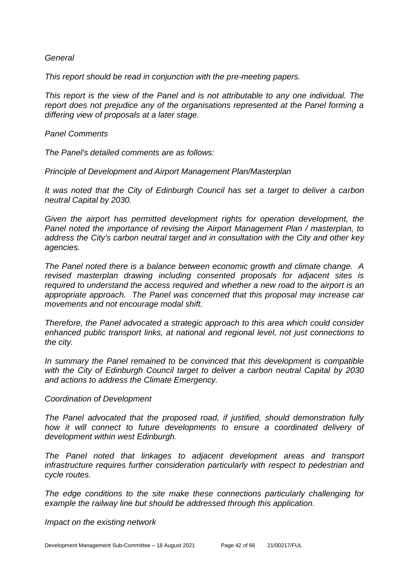*General*

*This report should be read in conjunction with the pre-meeting papers.*

*This report is the view of the Panel and is not attributable to any one individual. The report does not prejudice any of the organisations represented at the Panel forming a differing view of proposals at a later stage.*

*Panel Comments*

*The Panel's detailed comments are as follows:*

*Principle of Development and Airport Management Plan/Masterplan* 

*It was noted that the City of Edinburgh Council has set a target to deliver a carbon neutral Capital by 2030.* 

*Given the airport has permitted development rights for operation development, the Panel noted the importance of revising the Airport Management Plan / masterplan, to address the City's carbon neutral target and in consultation with the City and other key agencies.* 

*The Panel noted there is a balance between economic growth and climate change. A revised masterplan drawing including consented proposals for adjacent sites is required to understand the access required and whether a new road to the airport is an appropriate approach. The Panel was concerned that this proposal may increase car movements and not encourage modal shift.* 

*Therefore, the Panel advocated a strategic approach to this area which could consider enhanced public transport links, at national and regional level, not just connections to the city.* 

*In summary the Panel remained to be convinced that this development is compatible*  with the City of Edinburgh Council target to deliver a carbon neutral Capital by 2030 *and actions to address the Climate Emergency.* 

#### *Coordination of Development*

*The Panel advocated that the proposed road, if justified, should demonstration fully how it will connect to future developments to ensure a coordinated delivery of development within west Edinburgh.* 

*The Panel noted that linkages to adjacent development areas and transport infrastructure requires further consideration particularly with respect to pedestrian and cycle routes.* 

*The edge conditions to the site make these connections particularly challenging for example the railway line but should be addressed through this application.* 

*Impact on the existing network*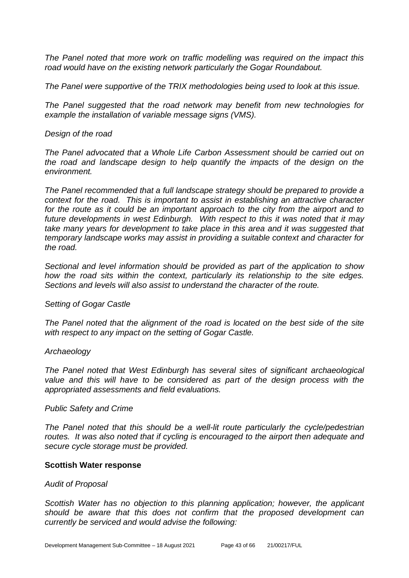*The Panel noted that more work on traffic modelling was required on the impact this road would have on the existing network particularly the Gogar Roundabout.*

*The Panel were supportive of the TRIX methodologies being used to look at this issue.* 

*The Panel suggested that the road network may benefit from new technologies for example the installation of variable message signs (VMS).*

#### *Design of the road*

*The Panel advocated that a Whole Life Carbon Assessment should be carried out on the road and landscape design to help quantify the impacts of the design on the environment.* 

*The Panel recommended that a full landscape strategy should be prepared to provide a context for the road. This is important to assist in establishing an attractive character for the route as it could be an important approach to the city from the airport and to future developments in west Edinburgh. With respect to this it was noted that it may take many years for development to take place in this area and it was suggested that temporary landscape works may assist in providing a suitable context and character for the road.* 

*Sectional and level information should be provided as part of the application to show how the road sits within the context, particularly its relationship to the site edges. Sections and levels will also assist to understand the character of the route.* 

#### *Setting of Gogar Castle*

*The Panel noted that the alignment of the road is located on the best side of the site with respect to any impact on the setting of Gogar Castle.* 

#### *Archaeology*

*The Panel noted that West Edinburgh has several sites of significant archaeological value and this will have to be considered as part of the design process with the appropriated assessments and field evaluations.* 

#### *Public Safety and Crime*

*The Panel noted that this should be a well-lit route particularly the cycle/pedestrian routes. It was also noted that if cycling is encouraged to the airport then adequate and secure cycle storage must be provided.*

#### **Scottish Water response**

#### *Audit of Proposal*

*Scottish Water has no objection to this planning application; however, the applicant should be aware that this does not confirm that the proposed development can currently be serviced and would advise the following:*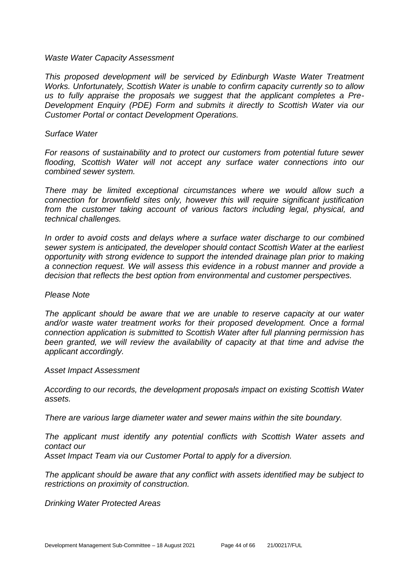#### *Waste Water Capacity Assessment*

*This proposed development will be serviced by Edinburgh Waste Water Treatment Works. Unfortunately, Scottish Water is unable to confirm capacity currently so to allow us to fully appraise the proposals we suggest that the applicant completes a Pre-Development Enquiry (PDE) Form and submits it directly to Scottish Water via our Customer Portal or contact Development Operations.*

#### *Surface Water*

*For reasons of sustainability and to protect our customers from potential future sewer flooding, Scottish Water will not accept any surface water connections into our combined sewer system.*

*There may be limited exceptional circumstances where we would allow such a connection for brownfield sites only, however this will require significant justification from the customer taking account of various factors including legal, physical, and technical challenges.*

*In order to avoid costs and delays where a surface water discharge to our combined sewer system is anticipated, the developer should contact Scottish Water at the earliest opportunity with strong evidence to support the intended drainage plan prior to making a connection request. We will assess this evidence in a robust manner and provide a decision that reflects the best option from environmental and customer perspectives.*

#### *Please Note*

*The applicant should be aware that we are unable to reserve capacity at our water and/or waste water treatment works for their proposed development. Once a formal connection application is submitted to Scottish Water after full planning permission has*  been granted, we will review the availability of capacity at that time and advise the *applicant accordingly.*

#### *Asset Impact Assessment*

*According to our records, the development proposals impact on existing Scottish Water assets.*

*There are various large diameter water and sewer mains within the site boundary.*

*The applicant must identify any potential conflicts with Scottish Water assets and contact our Asset Impact Team via our Customer Portal to apply for a diversion.*

*The applicant should be aware that any conflict with assets identified may be subject to restrictions on proximity of construction.* 

*Drinking Water Protected Areas*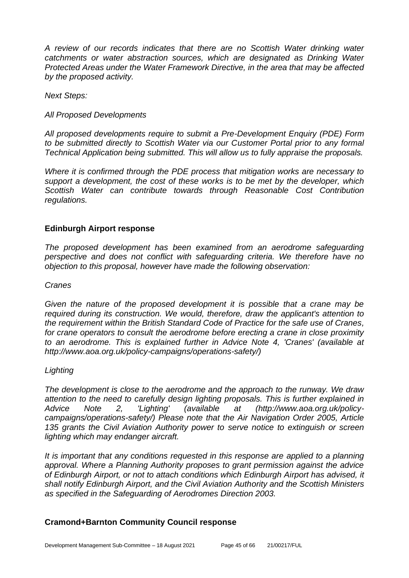*A review of our records indicates that there are no Scottish Water drinking water catchments or water abstraction sources, which are designated as Drinking Water Protected Areas under the Water Framework Directive, in the area that may be affected by the proposed activity.*

*Next Steps:*

#### *All Proposed Developments*

*All proposed developments require to submit a Pre-Development Enquiry (PDE) Form to be submitted directly to Scottish Water via our Customer Portal prior to any formal Technical Application being submitted. This will allow us to fully appraise the proposals.*

*Where it is confirmed through the PDE process that mitigation works are necessary to support a development, the cost of these works is to be met by the developer, which Scottish Water can contribute towards through Reasonable Cost Contribution regulations.*

#### **Edinburgh Airport response**

*The proposed development has been examined from an aerodrome safeguarding perspective and does not conflict with safeguarding criteria. We therefore have no objection to this proposal, however have made the following observation:* 

#### *Cranes*

*Given the nature of the proposed development it is possible that a crane may be required during its construction. We would, therefore, draw the applicant's attention to the requirement within the British Standard Code of Practice for the safe use of Cranes, for crane operators to consult the aerodrome before erecting a crane in close proximity to an aerodrome. This is explained further in Advice Note 4, 'Cranes' (available at http://www.aoa.org.uk/policy-campaigns/operations-safety/)* 

#### *Lighting*

*The development is close to the aerodrome and the approach to the runway. We draw attention to the need to carefully design lighting proposals. This is further explained in Advice Note 2, 'Lighting' (available at (http://www.aoa.org.uk/policycampaigns/operations-safety/) Please note that the Air Navigation Order 2005, Article 135 grants the Civil Aviation Authority power to serve notice to extinguish or screen lighting which may endanger aircraft.*

*It is important that any conditions requested in this response are applied to a planning approval. Where a Planning Authority proposes to grant permission against the advice of Edinburgh Airport, or not to attach conditions which Edinburgh Airport has advised, it shall notify Edinburgh Airport, and the Civil Aviation Authority and the Scottish Ministers as specified in the Safeguarding of Aerodromes Direction 2003.*

# **Cramond+Barnton Community Council response**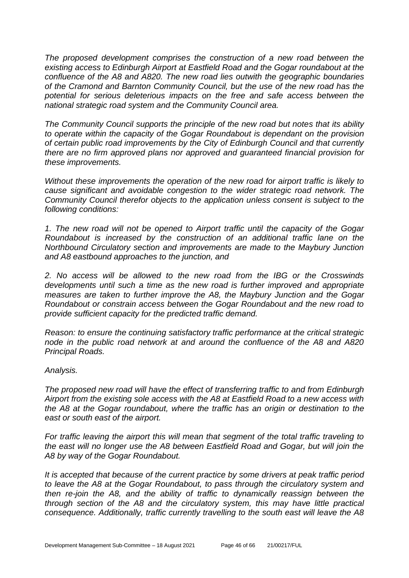*The proposed development comprises the construction of a new road between the existing access to Edinburgh Airport at Eastfield Road and the Gogar roundabout at the confluence of the A8 and A820. The new road lies outwith the geographic boundaries of the Cramond and Barnton Community Council, but the use of the new road has the potential for serious deleterious impacts on the free and safe access between the national strategic road system and the Community Council area.*

*The Community Council supports the principle of the new road but notes that its ability to operate within the capacity of the Gogar Roundabout is dependant on the provision of certain public road improvements by the City of Edinburgh Council and that currently there are no firm approved plans nor approved and guaranteed financial provision for these improvements.* 

*Without these improvements the operation of the new road for airport traffic is likely to cause significant and avoidable congestion to the wider strategic road network. The Community Council therefor objects to the application unless consent is subject to the following conditions:*

*1. The new road will not be opened to Airport traffic until the capacity of the Gogar Roundabout is increased by the construction of an additional traffic lane on the Northbound Circulatory section and improvements are made to the Maybury Junction and A8 eastbound approaches to the junction, and* 

*2. No access will be allowed to the new road from the IBG or the Crosswinds developments until such a time as the new road is further improved and appropriate measures are taken to further improve the A8, the Maybury Junction and the Gogar Roundabout or constrain access between the Gogar Roundabout and the new road to provide sufficient capacity for the predicted traffic demand.*

*Reason: to ensure the continuing satisfactory traffic performance at the critical strategic node in the public road network at and around the confluence of the A8 and A820 Principal Roads.* 

#### *Analysis.*

*The proposed new road will have the effect of transferring traffic to and from Edinburgh Airport from the existing sole access with the A8 at Eastfield Road to a new access with the A8 at the Gogar roundabout, where the traffic has an origin or destination to the east or south east of the airport.* 

*For traffic leaving the airport this will mean that segment of the total traffic traveling to the east will no longer use the A8 between Eastfield Road and Gogar, but will join the A8 by way of the Gogar Roundabout.* 

*It is accepted that because of the current practice by some drivers at peak traffic period to leave the A8 at the Gogar Roundabout, to pass through the circulatory system and then re-join the A8, and the ability of traffic to dynamically reassign between the through section of the A8 and the circulatory system, this may have little practical consequence. Additionally, traffic currently travelling to the south east will leave the A8*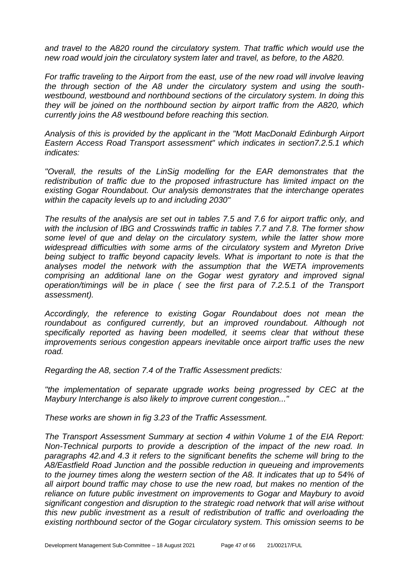*and travel to the A820 round the circulatory system. That traffic which would use the new road would join the circulatory system later and travel, as before, to the A820.* 

*For traffic traveling to the Airport from the east, use of the new road will involve leaving the through section of the A8 under the circulatory system and using the southwestbound, westbound and northbound sections of the circulatory system. In doing this they will be joined on the northbound section by airport traffic from the A820, which currently joins the A8 westbound before reaching this section.*

*Analysis of this is provided by the applicant in the "Mott MacDonald Edinburgh Airport Eastern Access Road Transport assessment" which indicates in section7.2.5.1 which indicates:*

*"Overall, the results of the LinSig modelling for the EAR demonstrates that the redistribution of traffic due to the proposed infrastructure has limited impact on the existing Gogar Roundabout. Our analysis demonstrates that the interchange operates within the capacity levels up to and including 2030"*

*The results of the analysis are set out in tables 7.5 and 7.6 for airport traffic only, and with the inclusion of IBG and Crosswinds traffic in tables 7.7 and 7.8. The former show some level of que and delay on the circulatory system, while the latter show more widespread difficulties with some arms of the circulatory system and Myreton Drive*  being subject to traffic beyond capacity levels. What is important to note is that the *analyses model the network with the assumption that the WETA improvements comprising an additional lane on the Gogar west gyratory and improved signal operation/timings will be in place ( see the first para of 7.2.5.1 of the Transport assessment).* 

*Accordingly, the reference to existing Gogar Roundabout does not mean the roundabout as configured currently, but an improved roundabout. Although not specifically reported as having been modelled, it seems clear that without these improvements serious congestion appears inevitable once airport traffic uses the new road.*

*Regarding the A8, section 7.4 of the Traffic Assessment predicts:*

*"the implementation of separate upgrade works being progressed by CEC at the Maybury Interchange is also likely to improve current congestion..."*

*These works are shown in fig 3.23 of the Traffic Assessment.*

*The Transport Assessment Summary at section 4 within Volume 1 of the EIA Report: Non-Technical purports to provide a description of the impact of the new road. In paragraphs 42.and 4.3 it refers to the significant benefits the scheme will bring to the A8/Eastfield Road Junction and the possible reduction in queueing and improvements to the journey times along the western section of the A8. It indicates that up to 54% of all airport bound traffic may chose to use the new road, but makes no mention of the reliance on future public investment on improvements to Gogar and Maybury to avoid significant congestion and disruption to the strategic road network that will arise without this new public investment as a result of redistribution of traffic and overloading the existing northbound sector of the Gogar circulatory system. This omission seems to be*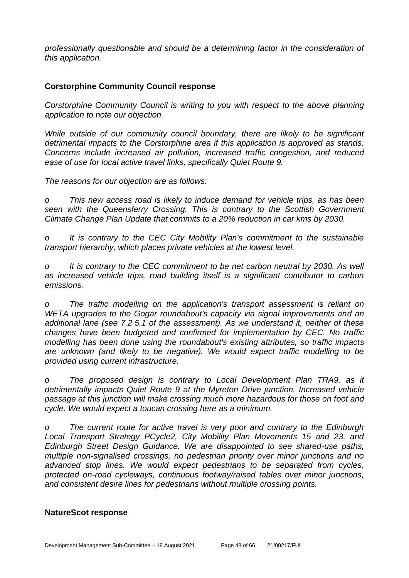*professionally questionable and should be a determining factor in the consideration of this application.*

#### **Corstorphine Community Council response**

*Corstorphine Community Council is writing to you with respect to the above planning application to note our objection.* 

*While outside of our community council boundary, there are likely to be significant detrimental impacts to the Corstorphine area if this application is approved as stands. Concerns include increased air pollution, increased traffic congestion, and reduced ease of use for local active travel links, specifically Quiet Route 9.* 

*The reasons for our objection are as follows:* 

*o This new access road is likely to induce demand for vehicle trips, as has been seen with the Queensferry Crossing. This is contrary to the Scottish Government Climate Change Plan Update that commits to a 20% reduction in car kms by 2030.*

*o It is contrary to the CEC City Mobility Plan's commitment to the sustainable transport hierarchy, which places private vehicles at the lowest level.* 

*o It is contrary to the CEC commitment to be net carbon neutral by 2030. As well as increased vehicle trips, road building itself is a significant contributor to carbon emissions.*

*o The traffic modelling on the application's transport assessment is reliant on WETA upgrades to the Gogar roundabout's capacity via signal improvements and an additional lane (see 7.2.5.1 of the assessment). As we understand it, neither of these changes have been budgeted and confirmed for implementation by CEC. No traffic modelling has been done using the roundabout's existing attributes, so traffic impacts are unknown (and likely to be negative). We would expect traffic modelling to be provided using current infrastructure.*

*o The proposed design is contrary to Local Development Plan TRA9, as it detrimentally impacts Quiet Route 9 at the Myreton Drive junction. Increased vehicle passage at this junction will make crossing much more hazardous for those on foot and cycle. We would expect a toucan crossing here as a minimum.* 

*o The current route for active travel is very poor and contrary to the Edinburgh Local Transport Strategy PCycle2, City Mobility Plan Movements 15 and 23, and Edinburgh Street Design Guidance. We are disappointed to see shared-use paths, multiple non-signalised crossings, no pedestrian priority over minor junctions and no advanced stop lines. We would expect pedestrians to be separated from cycles, protected on-road cycleways, continuous footway/raised tables over minor junctions, and consistent desire lines for pedestrians without multiple crossing points.*

#### **NatureScot response**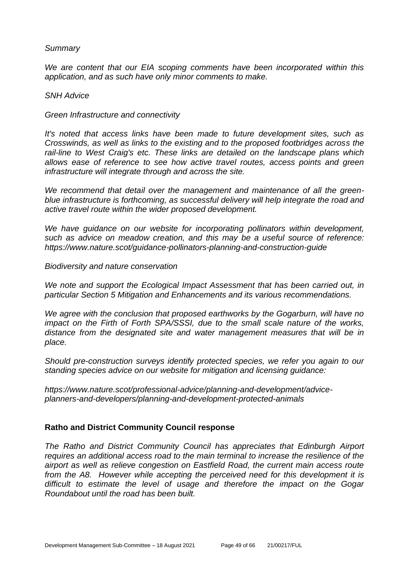#### *Summary*

*We are content that our EIA scoping comments have been incorporated within this application, and as such have only minor comments to make.* 

#### *SNH Advice*

*Green Infrastructure and connectivity* 

*It's noted that access links have been made to future development sites, such as Crosswinds, as well as links to the existing and to the proposed footbridges across the rail-line to West Craig's etc. These links are detailed on the landscape plans which allows ease of reference to see how active travel routes, access points and green infrastructure will integrate through and across the site.* 

*We recommend that detail over the management and maintenance of all the greenblue infrastructure is forthcoming, as successful delivery will help integrate the road and active travel route within the wider proposed development.*

*We have guidance on our website for incorporating pollinators within development, such as advice on meadow creation, and this may be a useful source of reference: https://www.nature.scot/guidance-pollinators-planning-and-construction-guide* 

*Biodiversity and nature conservation* 

*We note and support the Ecological Impact Assessment that has been carried out, in particular Section 5 Mitigation and Enhancements and its various recommendations.* 

*We agree with the conclusion that proposed earthworks by the Gogarburn, will have no impact on the Firth of Forth SPA/SSSI, due to the small scale nature of the works, distance from the designated site and water management measures that will be in place.* 

*Should pre-construction surveys identify protected species, we refer you again to our standing species advice on our website for mitigation and licensing guidance:* 

*https://www.nature.scot/professional-advice/planning-and-development/adviceplanners-and-developers/planning-and-development-protected-animals*

#### **Ratho and District Community Council response**

*The Ratho and District Community Council has appreciates that Edinburgh Airport requires an additional access road to the main terminal to increase the resilience of the airport as well as relieve congestion on Eastfield Road, the current main access route from the A8. However while accepting the perceived need for this development it is difficult to estimate the level of usage and therefore the impact on the Gogar Roundabout until the road has been built.*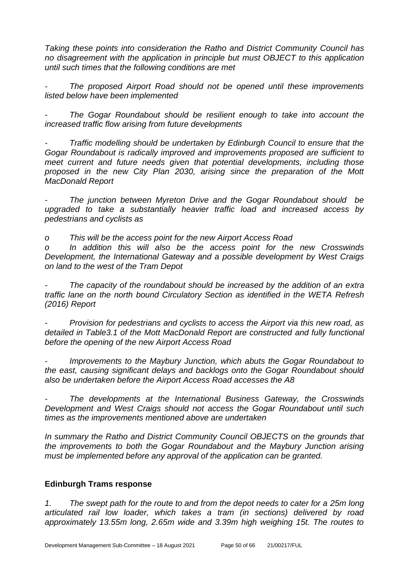*Taking these points into consideration the Ratho and District Community Council has no disagreement with the application in principle but must OBJECT to this application until such times that the following conditions are met*

*- The proposed Airport Road should not be opened until these improvements listed below have been implemented*

*- The Gogar Roundabout should be resilient enough to take into account the increased traffic flow arising from future developments* 

*- Traffic modelling should be undertaken by Edinburgh Council to ensure that the Gogar Roundabout is radically improved and improvements proposed are sufficient to meet current and future needs given that potential developments, including those proposed in the new City Plan 2030, arising since the preparation of the Mott MacDonald Report*

*- The junction between Myreton Drive and the Gogar Roundabout should be upgraded to take a substantially heavier traffic load and increased access by pedestrians and cyclists as*

*o This will be the access point for the new Airport Access Road*

*o In addition this will also be the access point for the new Crosswinds Development, the International Gateway and a possible development by West Craigs on land to the west of the Tram Depot*

*- The capacity of the roundabout should be increased by the addition of an extra traffic lane on the north bound Circulatory Section as identified in the WETA Refresh (2016) Report*

*- Provision for pedestrians and cyclists to access the Airport via this new road, as detailed in Table3.1 of the Mott MacDonald Report are constructed and fully functional before the opening of the new Airport Access Road*

*- Improvements to the Maybury Junction, which abuts the Gogar Roundabout to the east, causing significant delays and backlogs onto the Gogar Roundabout should also be undertaken before the Airport Access Road accesses the A8*

*- The developments at the International Business Gateway, the Crosswinds Development and West Craigs should not access the Gogar Roundabout until such times as the improvements mentioned above are undertaken*

*In summary the Ratho and District Community Council OBJECTS on the grounds that the improvements to both the Gogar Roundabout and the Maybury Junction arising must be implemented before any approval of the application can be granted.*

# **Edinburgh Trams response**

*1. The swept path for the route to and from the depot needs to cater for a 25m long articulated rail low loader, which takes a tram (in sections) delivered by road approximately 13.55m long, 2.65m wide and 3.39m high weighing 15t. The routes to*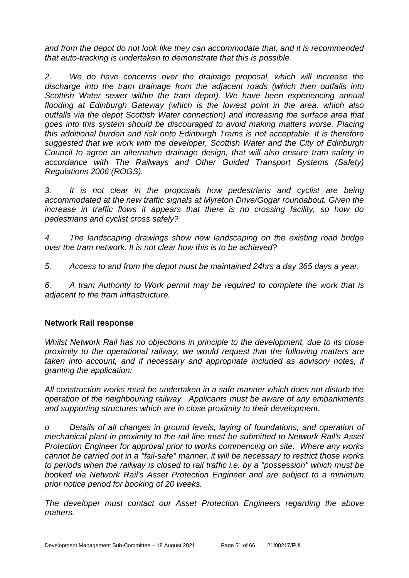*and from the depot do not look like they can accommodate that, and it is recommended that auto-tracking is undertaken to demonstrate that this is possible.*

*2. We do have concerns over the drainage proposal, which will increase the discharge into the tram drainage from the adjacent roads (which then outfalls into Scottish Water sewer within the tram depot). We have been experiencing annual flooding at Edinburgh Gateway (which is the lowest point in the area, which also outfalls via the depot Scottish Water connection) and increasing the surface area that goes into this system should be discouraged to avoid making matters worse. Placing this additional burden and risk onto Edinburgh Trams is not acceptable. It is therefore suggested that we work with the developer, Scottish Water and the City of Edinburgh Council to agree an alternative drainage design, that will also ensure tram safety in accordance with The Railways and Other Guided Transport Systems (Safety) Regulations 2006 (ROGS).*

*3. It is not clear in the proposals how pedestrians and cyclist are being accommodated at the new traffic signals at Myreton Drive/Gogar roundabout. Given the increase in traffic flows it appears that there is no crossing facility, so how do pedestrians and cyclist cross safely?*

*4. The landscaping drawings show new landscaping on the existing road bridge over the tram network. It is not clear how this is to be achieved?*

*5. Access to and from the depot must be maintained 24hrs a day 365 days a year.*

*6. A tram Authority to Work permit may be required to complete the work that is adjacent to the tram infrastructure.*

# **Network Rail response**

*Whilst Network Rail has no objections in principle to the development, due to its close proximity to the operational railway, we would request that the following matters are taken into account, and if necessary and appropriate included as advisory notes, if granting the application:*

*All construction works must be undertaken in a safe manner which does not disturb the operation of the neighbouring railway. Applicants must be aware of any embankments and supporting structures which are in close proximity to their development.* 

*o Details of all changes in ground levels, laying of foundations, and operation of mechanical plant in proximity to the rail line must be submitted to Network Rail's Asset Protection Engineer for approval prior to works commencing on site. Where any works cannot be carried out in a "fail-safe" manner, it will be necessary to restrict those works to periods when the railway is closed to rail traffic i.e. by a "possession" which must be booked via Network Rail's Asset Protection Engineer and are subject to a minimum prior notice period for booking of 20 weeks.*

*The developer must contact our Asset Protection Engineers regarding the above matters.*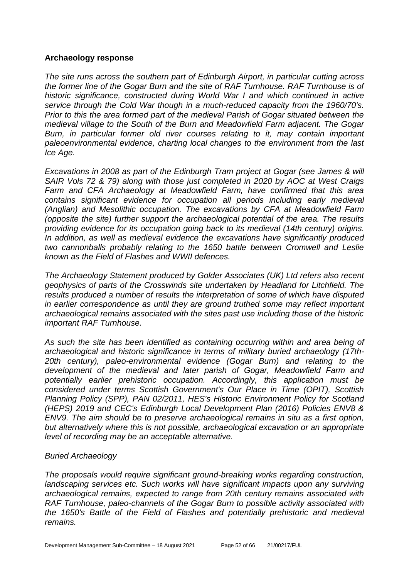#### **Archaeology response**

*The site runs across the southern part of Edinburgh Airport, in particular cutting across the former line of the Gogar Burn and the site of RAF Turnhouse. RAF Turnhouse is of historic significance, constructed during World War I and which continued in active service through the Cold War though in a much-reduced capacity from the 1960/70's. Prior to this the area formed part of the medieval Parish of Gogar situated between the medieval village to the South of the Burn and Meadowfield Farm adjacent. The Gogar*  Burn, in particular former old river courses relating to it, may contain important *paleoenvironmental evidence, charting local changes to the environment from the last Ice Age.*

*Excavations in 2008 as part of the Edinburgh Tram project at Gogar (see James & will SAIR Vols 72 & 79) along with those just completed in 2020 by AOC at West Craigs Farm and CFA Archaeology at Meadowfield Farm, have confirmed that this area contains significant evidence for occupation all periods including early medieval (Anglian) and Mesolithic occupation. The excavations by CFA at Meadowfield Farm (opposite the site) further support the archaeological potential of the area. The results providing evidence for its occupation going back to its medieval (14th century) origins. In addition, as well as medieval evidence the excavations have significantly produced two cannonballs probably relating to the 1650 battle between Cromwell and Leslie known as the Field of Flashes and WWII defences.*

*The Archaeology Statement produced by Golder Associates (UK) Ltd refers also recent geophysics of parts of the Crosswinds site undertaken by Headland for Litchfield. The results produced a number of results the interpretation of some of which have disputed in earlier correspondence as until they are ground truthed some may reflect important archaeological remains associated with the sites past use including those of the historic important RAF Turnhouse.* 

*As such the site has been identified as containing occurring within and area being of archaeological and historic significance in terms of military buried archaeology (17th-20th century), paleo-environmental evidence (Gogar Burn) and relating to the development of the medieval and later parish of Gogar, Meadowfield Farm and potentially earlier prehistoric occupation. Accordingly, this application must be considered under terms Scottish Government's Our Place in Time (OPIT), Scottish Planning Policy (SPP), PAN 02/2011, HES's Historic Environment Policy for Scotland (HEPS) 2019 and CEC's Edinburgh Local Development Plan (2016) Policies ENV8 & ENV9. The aim should be to preserve archaeological remains in situ as a first option, but alternatively where this is not possible, archaeological excavation or an appropriate level of recording may be an acceptable alternative.*

#### *Buried Archaeology*

*The proposals would require significant ground-breaking works regarding construction,*  landscaping services etc. Such works will have significant impacts upon any surviving *archaeological remains, expected to range from 20th century remains associated with RAF Turnhouse, paleo-channels of the Gogar Burn to possible activity associated with the 1650's Battle of the Field of Flashes and potentially prehistoric and medieval remains.*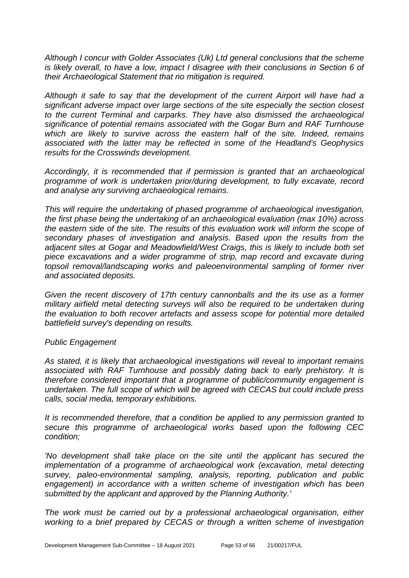*Although I concur with Golder Associates (Uk) Ltd general conclusions that the scheme is likely overall, to have a low, impact I disagree with their conclusions in Section 6 of their Archaeological Statement that no mitigation is required.* 

*Although it safe to say that the development of the current Airport will have had a significant adverse impact over large sections of the site especially the section closest to the current Terminal and carparks. They have also dismissed the archaeological significance of potential remains associated with the Gogar Burn and RAF Turnhouse which are likely to survive across the eastern half of the site. Indeed, remains associated with the latter may be reflected in some of the Headland's Geophysics results for the Crosswinds development.* 

*Accordingly, it is recommended that if permission is granted that an archaeological programme of work is undertaken prior/during development, to fully excavate, record and analyse any surviving archaeological remains.* 

*This will require the undertaking of phased programme of archaeological investigation, the first phase being the undertaking of an archaeological evaluation (max 10%) across the eastern side of the site. The results of this evaluation work will inform the scope of secondary phases of investigation and analysis. Based upon the results from the adjacent sites at Gogar and Meadowfield/West Craigs, this is likely to include both set piece excavations and a wider programme of strip, map record and excavate during topsoil removal/landscaping works and paleoenvironmental sampling of former river and associated deposits.*

*Given the recent discovery of 17th century cannonballs and the its use as a former military airfield metal detecting surveys will also be required to be undertaken during the evaluation to both recover artefacts and assess scope for potential more detailed battlefield survey's depending on results.*

#### *Public Engagement*

*As stated, it is likely that archaeological investigations will reveal to important remains associated with RAF Turnhouse and possibly dating back to early prehistory. It is therefore considered important that a programme of public/community engagement is undertaken. The full scope of which will be agreed with CECAS but could include press calls, social media, temporary exhibitions.*

*It is recommended therefore, that a condition be applied to any permission granted to secure this programme of archaeological works based upon the following CEC condition;*

*'No development shall take place on the site until the applicant has secured the implementation of a programme of archaeological work (excavation, metal detecting survey, paleo-environmental sampling, analysis, reporting, publication and public*  engagement) in accordance with a written scheme of investigation which has been *submitted by the applicant and approved by the Planning Authority.'* 

*The work must be carried out by a professional archaeological organisation, either working to a brief prepared by CECAS or through a written scheme of investigation*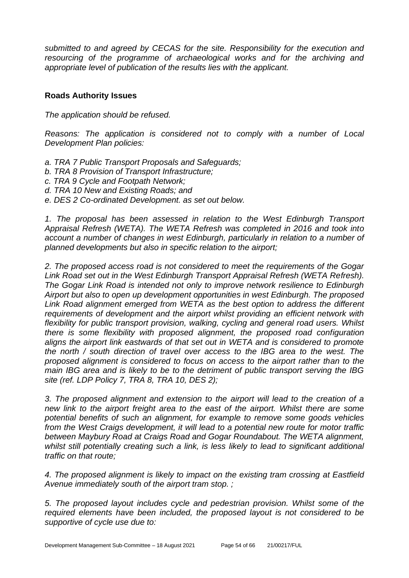*submitted to and agreed by CECAS for the site. Responsibility for the execution and resourcing of the programme of archaeological works and for the archiving and appropriate level of publication of the results lies with the applicant.*

#### **Roads Authority Issues**

*The application should be refused.* 

*Reasons: The application is considered not to comply with a number of Local Development Plan policies:* 

- *a. TRA 7 Public Transport Proposals and Safeguards;*
- *b. TRA 8 Provision of Transport Infrastructure;*
- *c. TRA 9 Cycle and Footpath Network;*
- *d. TRA 10 New and Existing Roads; and*
- *e. DES 2 Co-ordinated Development. as set out below.*

1. The proposal has been assessed in relation to the West Edinburgh Transport *Appraisal Refresh (WETA). The WETA Refresh was completed in 2016 and took into account a number of changes in west Edinburgh, particularly in relation to a number of planned developments but also in specific relation to the airport;* 

*2. The proposed access road is not considered to meet the requirements of the Gogar Link Road set out in the West Edinburgh Transport Appraisal Refresh (WETA Refresh). The Gogar Link Road is intended not only to improve network resilience to Edinburgh Airport but also to open up development opportunities in west Edinburgh. The proposed Link Road alignment emerged from WETA as the best option to address the different requirements of development and the airport whilst providing an efficient network with flexibility for public transport provision, walking, cycling and general road users. Whilst there is some flexibility with proposed alignment, the proposed road configuration aligns the airport link eastwards of that set out in WETA and is considered to promote the north / south direction of travel over access to the IBG area to the west. The proposed alignment is considered to focus on access to the airport rather than to the main IBG area and is likely to be to the detriment of public transport serving the IBG site (ref. LDP Policy 7, TRA 8, TRA 10, DES 2);* 

*3. The proposed alignment and extension to the airport will lead to the creation of a new link to the airport freight area to the east of the airport. Whilst there are some potential benefits of such an alignment, for example to remove some goods vehicles from the West Craigs development, it will lead to a potential new route for motor traffic between Maybury Road at Craigs Road and Gogar Roundabout. The WETA alignment, whilst still potentially creating such a link, is less likely to lead to significant additional traffic on that route;* 

*4. The proposed alignment is likely to impact on the existing tram crossing at Eastfield Avenue immediately south of the airport tram stop. ;* 

*5. The proposed layout includes cycle and pedestrian provision. Whilst some of the required elements have been included, the proposed layout is not considered to be supportive of cycle use due to:*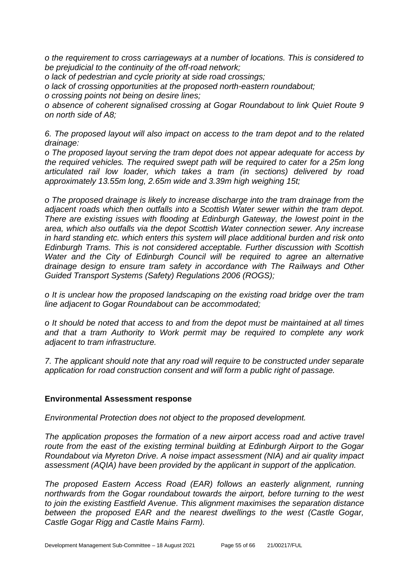*o the requirement to cross carriageways at a number of locations. This is considered to be prejudicial to the continuity of the off-road network;* 

*o lack of pedestrian and cycle priority at side road crossings;* 

*o lack of crossing opportunities at the proposed north-eastern roundabout;* 

*o crossing points not being on desire lines;* 

*o absence of coherent signalised crossing at Gogar Roundabout to link Quiet Route 9 on north side of A8;* 

*6. The proposed layout will also impact on access to the tram depot and to the related drainage:* 

*o The proposed layout serving the tram depot does not appear adequate for access by the required vehicles. The required swept path will be required to cater for a 25m long articulated rail low loader, which takes a tram (in sections) delivered by road approximately 13.55m long, 2.65m wide and 3.39m high weighing 15t;* 

*o The proposed drainage is likely to increase discharge into the tram drainage from the adjacent roads which then outfalls into a Scottish Water sewer within the tram depot. There are existing issues with flooding at Edinburgh Gateway, the lowest point in the area, which also outfalls via the depot Scottish Water connection sewer. Any increase in hard standing etc. which enters this system will place additional burden and risk onto Edinburgh Trams. This is not considered acceptable. Further discussion with Scottish Water and the City of Edinburgh Council will be required to agree an alternative drainage design to ensure tram safety in accordance with The Railways and Other Guided Transport Systems (Safety) Regulations 2006 (ROGS);* 

*o It is unclear how the proposed landscaping on the existing road bridge over the tram line adjacent to Gogar Roundabout can be accommodated;* 

*o It should be noted that access to and from the depot must be maintained at all times and that a tram Authority to Work permit may be required to complete any work adjacent to tram infrastructure.* 

*7. The applicant should note that any road will require to be constructed under separate application for road construction consent and will form a public right of passage.*

#### **Environmental Assessment response**

*Environmental Protection does not object to the proposed development.*

*The application proposes the formation of a new airport access road and active travel route from the east of the existing terminal building at Edinburgh Airport to the Gogar Roundabout via Myreton Drive. A noise impact assessment (NIA) and air quality impact assessment (AQIA) have been provided by the applicant in support of the application.* 

*The proposed Eastern Access Road (EAR) follows an easterly alignment, running northwards from the Gogar roundabout towards the airport, before turning to the west to join the existing Eastfield Avenue. This alignment maximises the separation distance between the proposed EAR and the nearest dwellings to the west (Castle Gogar, Castle Gogar Rigg and Castle Mains Farm).*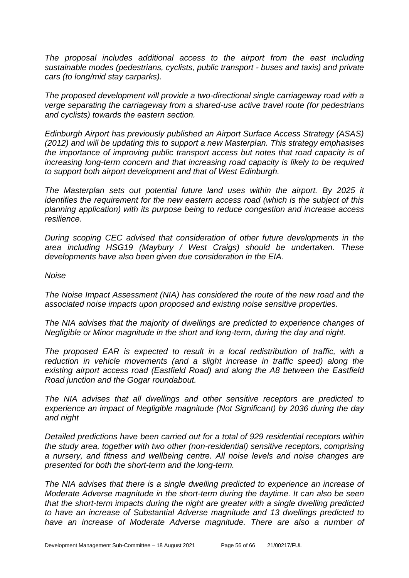*The proposal includes additional access to the airport from the east including sustainable modes (pedestrians, cyclists, public transport - buses and taxis) and private cars (to long/mid stay carparks).*

*The proposed development will provide a two-directional single carriageway road with a verge separating the carriageway from a shared-use active travel route (for pedestrians and cyclists) towards the eastern section.*

*Edinburgh Airport has previously published an Airport Surface Access Strategy (ASAS) (2012) and will be updating this to support a new Masterplan. This strategy emphasises the importance of improving public transport access but notes that road capacity is of increasing long-term concern and that increasing road capacity is likely to be required to support both airport development and that of West Edinburgh.*

*The Masterplan sets out potential future land uses within the airport. By 2025 it identifies the requirement for the new eastern access road (which is the subject of this planning application) with its purpose being to reduce congestion and increase access resilience.* 

*During scoping CEC advised that consideration of other future developments in the area including HSG19 (Maybury / West Craigs) should be undertaken. These developments have also been given due consideration in the EIA.*

#### *Noise*

*The Noise Impact Assessment (NIA) has considered the route of the new road and the associated noise impacts upon proposed and existing noise sensitive properties.*

*The NIA advises that the majority of dwellings are predicted to experience changes of Negligible or Minor magnitude in the short and long-term, during the day and night.*

*The proposed EAR is expected to result in a local redistribution of traffic, with a reduction in vehicle movements (and a slight increase in traffic speed) along the existing airport access road (Eastfield Road) and along the A8 between the Eastfield Road junction and the Gogar roundabout.*

*The NIA advises that all dwellings and other sensitive receptors are predicted to experience an impact of Negligible magnitude (Not Significant) by 2036 during the day and night*

*Detailed predictions have been carried out for a total of 929 residential receptors within the study area, together with two other (non-residential) sensitive receptors, comprising a nursery, and fitness and wellbeing centre. All noise levels and noise changes are presented for both the short-term and the long-term.*

*The NIA advises that there is a single dwelling predicted to experience an increase of Moderate Adverse magnitude in the short-term during the daytime. It can also be seen that the short-term impacts during the night are greater with a single dwelling predicted to have an increase of Substantial Adverse magnitude and 13 dwellings predicted to*  have an increase of Moderate Adverse magnitude. There are also a number of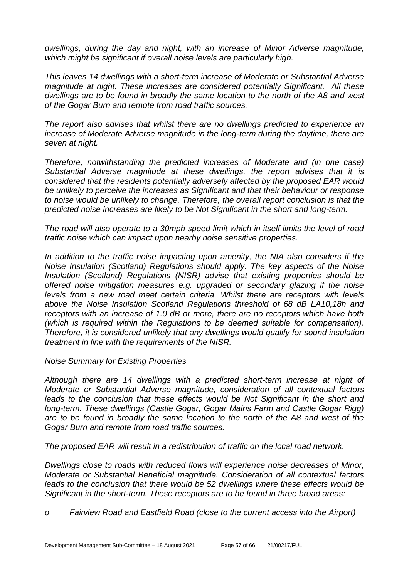*dwellings, during the day and night, with an increase of Minor Adverse magnitude, which might be significant if overall noise levels are particularly high.*

*This leaves 14 dwellings with a short-term increase of Moderate or Substantial Adverse magnitude at night. These increases are considered potentially Significant. All these dwellings are to be found in broadly the same location to the north of the A8 and west of the Gogar Burn and remote from road traffic sources.*

*The report also advises that whilst there are no dwellings predicted to experience an increase of Moderate Adverse magnitude in the long-term during the daytime, there are seven at night.*

*Therefore, notwithstanding the predicted increases of Moderate and (in one case) Substantial Adverse magnitude at these dwellings, the report advises that it is considered that the residents potentially adversely affected by the proposed EAR would be unlikely to perceive the increases as Significant and that their behaviour or response to noise would be unlikely to change. Therefore, the overall report conclusion is that the predicted noise increases are likely to be Not Significant in the short and long-term.*

*The road will also operate to a 30mph speed limit which in itself limits the level of road traffic noise which can impact upon nearby noise sensitive properties.* 

*In addition to the traffic noise impacting upon amenity, the NIA also considers if the Noise Insulation (Scotland) Regulations should apply. The key aspects of the Noise Insulation (Scotland) Regulations (NISR) advise that existing properties should be offered noise mitigation measures e.g. upgraded or secondary glazing if the noise levels from a new road meet certain criteria. Whilst there are receptors with levels above the Noise Insulation Scotland Regulations threshold of 68 dB LA10,18h and receptors with an increase of 1.0 dB or more, there are no receptors which have both (which is required within the Regulations to be deemed suitable for compensation). Therefore, it is considered unlikely that any dwellings would qualify for sound insulation treatment in line with the requirements of the NISR.*

*Noise Summary for Existing Properties*

*Although there are 14 dwellings with a predicted short-term increase at night of Moderate or Substantial Adverse magnitude, consideration of all contextual factors*  leads to the conclusion that these effects would be Not Significant in the short and *long-term. These dwellings (Castle Gogar, Gogar Mains Farm and Castle Gogar Rigg) are to be found in broadly the same location to the north of the A8 and west of the Gogar Burn and remote from road traffic sources.* 

*The proposed EAR will result in a redistribution of traffic on the local road network.*

*Dwellings close to roads with reduced flows will experience noise decreases of Minor, Moderate or Substantial Beneficial magnitude. Consideration of all contextual factors leads to the conclusion that there would be 52 dwellings where these effects would be Significant in the short-term. These receptors are to be found in three broad areas:* 

*o Fairview Road and Eastfield Road (close to the current access into the Airport)*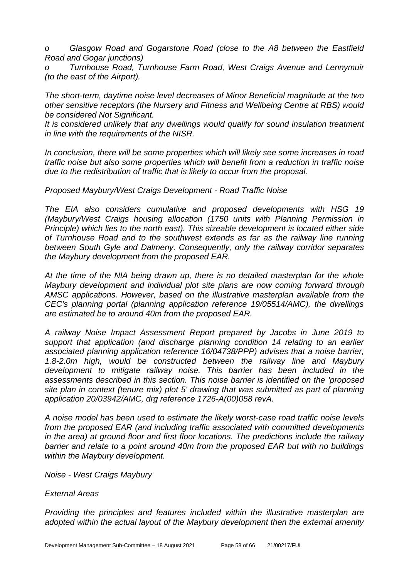*o Glasgow Road and Gogarstone Road (close to the A8 between the Eastfield Road and Gogar junctions)* 

*Turnhouse Road, Turnhouse Farm Road, West Craigs Avenue and Lennymuir (to the east of the Airport).*

*The short-term, daytime noise level decreases of Minor Beneficial magnitude at the two other sensitive receptors (the Nursery and Fitness and Wellbeing Centre at RBS) would be considered Not Significant.* 

*It is considered unlikely that any dwellings would qualify for sound insulation treatment in line with the requirements of the NISR.*

*In conclusion, there will be some properties which will likely see some increases in road traffic noise but also some properties which will benefit from a reduction in traffic noise due to the redistribution of traffic that is likely to occur from the proposal.*

*Proposed Maybury/West Craigs Development - Road Traffic Noise*

*The EIA also considers cumulative and proposed developments with HSG 19 (Maybury/West Craigs housing allocation (1750 units with Planning Permission in Principle) which lies to the north east). This sizeable development is located either side of Turnhouse Road and to the southwest extends as far as the railway line running between South Gyle and Dalmeny. Consequently, only the railway corridor separates the Maybury development from the proposed EAR.*

*At the time of the NIA being drawn up, there is no detailed masterplan for the whole Maybury development and individual plot site plans are now coming forward through AMSC applications. However, based on the illustrative masterplan available from the CEC's planning portal (planning application reference 19/05514/AMC), the dwellings are estimated be to around 40m from the proposed EAR.*

*A railway Noise Impact Assessment Report prepared by Jacobs in June 2019 to support that application (and discharge planning condition 14 relating to an earlier associated planning application reference 16/04738/PPP) advises that a noise barrier, 1.8-2.0m high, would be constructed between the railway line and Maybury development to mitigate railway noise. This barrier has been included in the assessments described in this section. This noise barrier is identified on the 'proposed site plan in context (tenure mix) plot 5' drawing that was submitted as part of planning application 20/03942/AMC, drg reference 1726-A(00)058 revA.*

*A noise model has been used to estimate the likely worst-case road traffic noise levels from the proposed EAR (and including traffic associated with committed developments in the area) at ground floor and first floor locations. The predictions include the railway barrier and relate to a point around 40m from the proposed EAR but with no buildings within the Maybury development.*

*Noise - West Craigs Maybury*

#### *External Areas*

*Providing the principles and features included within the illustrative masterplan are adopted within the actual layout of the Maybury development then the external amenity*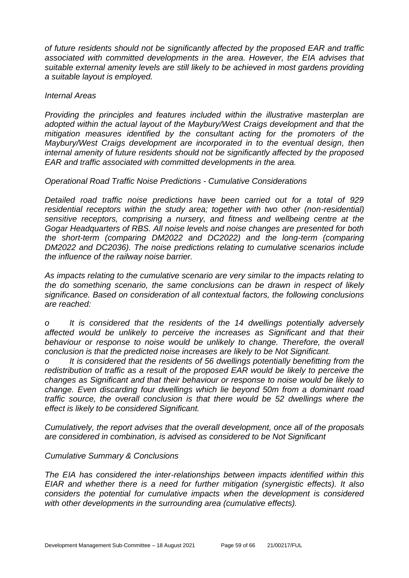*of future residents should not be significantly affected by the proposed EAR and traffic associated with committed developments in the area. However, the EIA advises that suitable external amenity levels are still likely to be achieved in most gardens providing a suitable layout is employed.*

#### *Internal Areas*

*Providing the principles and features included within the illustrative masterplan are adopted within the actual layout of the Maybury/West Craigs development and that the mitigation measures identified by the consultant acting for the promoters of the Maybury/West Craigs development are incorporated in to the eventual design, then internal amenity of future residents should not be significantly affected by the proposed EAR and traffic associated with committed developments in the area.*

*Operational Road Traffic Noise Predictions - Cumulative Considerations*

*Detailed road traffic noise predictions have been carried out for a total of 929 residential receptors within the study area; together with two other (non-residential) sensitive receptors, comprising a nursery, and fitness and wellbeing centre at the Gogar Headquarters of RBS. All noise levels and noise changes are presented for both the short-term (comparing DM2022 and DC2022) and the long-term (comparing DM2022 and DC2036). The noise predictions relating to cumulative scenarios include the influence of the railway noise barrier.*

*As impacts relating to the cumulative scenario are very similar to the impacts relating to the do something scenario, the same conclusions can be drawn in respect of likely significance. Based on consideration of all contextual factors, the following conclusions are reached:*

*o It is considered that the residents of the 14 dwellings potentially adversely affected would be unlikely to perceive the increases as Significant and that their behaviour or response to noise would be unlikely to change. Therefore, the overall conclusion is that the predicted noise increases are likely to be Not Significant.* 

*o It is considered that the residents of 56 dwellings potentially benefitting from the redistribution of traffic as a result of the proposed EAR would be likely to perceive the changes as Significant and that their behaviour or response to noise would be likely to change. Even discarding four dwellings which lie beyond 50m from a dominant road traffic source, the overall conclusion is that there would be 52 dwellings where the effect is likely to be considered Significant.*

*Cumulatively, the report advises that the overall development, once all of the proposals are considered in combination, is advised as considered to be Not Significant*

#### *Cumulative Summary & Conclusions*

*The EIA has considered the inter-relationships between impacts identified within this EIAR and whether there is a need for further mitigation (synergistic effects). It also considers the potential for cumulative impacts when the development is considered with other developments in the surrounding area (cumulative effects).*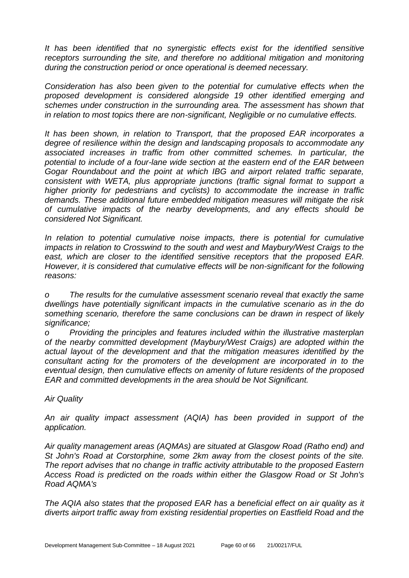*It has been identified that no synergistic effects exist for the identified sensitive receptors surrounding the site, and therefore no additional mitigation and monitoring during the construction period or once operational is deemed necessary.* 

*Consideration has also been given to the potential for cumulative effects when the proposed development is considered alongside 19 other identified emerging and schemes under construction in the surrounding area. The assessment has shown that in relation to most topics there are non-significant, Negligible or no cumulative effects.* 

*It has been shown, in relation to Transport, that the proposed EAR incorporates a degree of resilience within the design and landscaping proposals to accommodate any associated increases in traffic from other committed schemes. In particular, the potential to include of a four-lane wide section at the eastern end of the EAR between Gogar Roundabout and the point at which IBG and airport related traffic separate, consistent with WETA, plus appropriate junctions (traffic signal format to support a higher priority for pedestrians and cyclists) to accommodate the increase in traffic demands. These additional future embedded mitigation measures will mitigate the risk of cumulative impacts of the nearby developments, and any effects should be considered Not Significant.* 

In relation to potential cumulative noise impacts, there is potential for cumulative *impacts in relation to Crosswind to the south and west and Maybury/West Craigs to the east, which are closer to the identified sensitive receptors that the proposed EAR. However, it is considered that cumulative effects will be non-significant for the following reasons:* 

*o The results for the cumulative assessment scenario reveal that exactly the same dwellings have potentially significant impacts in the cumulative scenario as in the do something scenario, therefore the same conclusions can be drawn in respect of likely significance;* 

*o Providing the principles and features included within the illustrative masterplan of the nearby committed development (Maybury/West Craigs) are adopted within the actual layout of the development and that the mitigation measures identified by the consultant acting for the promoters of the development are incorporated in to the eventual design, then cumulative effects on amenity of future residents of the proposed EAR and committed developments in the area should be Not Significant.* 

*Air Quality*

*An air quality impact assessment (AQIA) has been provided in support of the application.*

*Air quality management areas (AQMAs) are situated at Glasgow Road (Ratho end) and St John's Road at Corstorphine, some 2km away from the closest points of the site. The report advises that no change in traffic activity attributable to the proposed Eastern Access Road is predicted on the roads within either the Glasgow Road or St John's Road AQMA's*

*The AQIA also states that the proposed EAR has a beneficial effect on air quality as it diverts airport traffic away from existing residential properties on Eastfield Road and the*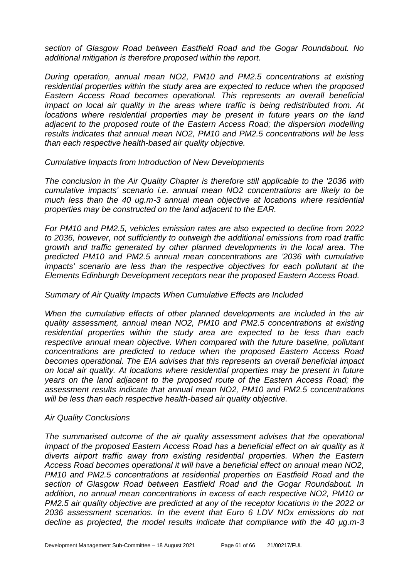*section of Glasgow Road between Eastfield Road and the Gogar Roundabout. No additional mitigation is therefore proposed within the report.*

*During operation, annual mean NO2, PM10 and PM2.5 concentrations at existing residential properties within the study area are expected to reduce when the proposed Eastern Access Road becomes operational. This represents an overall beneficial impact on local air quality in the areas where traffic is being redistributed from. At locations where residential properties may be present in future years on the land adjacent to the proposed route of the Eastern Access Road; the dispersion modelling results indicates that annual mean NO2, PM10 and PM2.5 concentrations will be less than each respective health-based air quality objective.*

*Cumulative Impacts from Introduction of New Developments*

*The conclusion in the Air Quality Chapter is therefore still applicable to the '2036 with cumulative impacts' scenario i.e. annual mean NO2 concentrations are likely to be much less than the 40 ug.m-3 annual mean objective at locations where residential properties may be constructed on the land adjacent to the EAR.*

*For PM10 and PM2.5, vehicles emission rates are also expected to decline from 2022 to 2036, however, not sufficiently to outweigh the additional emissions from road traffic growth and traffic generated by other planned developments in the local area. The predicted PM10 and PM2.5 annual mean concentrations are '2036 with cumulative impacts' scenario are less than the respective objectives for each pollutant at the Elements Edinburgh Development receptors near the proposed Eastern Access Road.*

#### *Summary of Air Quality Impacts When Cumulative Effects are Included*

*When the cumulative effects of other planned developments are included in the air quality assessment, annual mean NO2, PM10 and PM2.5 concentrations at existing residential properties within the study area are expected to be less than each respective annual mean objective. When compared with the future baseline, pollutant concentrations are predicted to reduce when the proposed Eastern Access Road becomes operational. The EIA advises that this represents an overall beneficial impact on local air quality. At locations where residential properties may be present in future years on the land adjacent to the proposed route of the Eastern Access Road; the assessment results indicate that annual mean NO2, PM10 and PM2.5 concentrations will be less than each respective health-based air quality objective.*

#### *Air Quality Conclusions*

*The summarised outcome of the air quality assessment advises that the operational impact of the proposed Eastern Access Road has a beneficial effect on air quality as it diverts airport traffic away from existing residential properties. When the Eastern Access Road becomes operational it will have a beneficial effect on annual mean NO2, PM10 and PM2.5 concentrations at residential properties on Eastfield Road and the section of Glasgow Road between Eastfield Road and the Gogar Roundabout. In addition, no annual mean concentrations in excess of each respective NO2, PM10 or PM2.5 air quality objective are predicted at any of the receptor locations in the 2022 or 2036 assessment scenarios. In the event that Euro 6 LDV NOx emissions do not decline as projected, the model results indicate that compliance with the 40 µg.m-3*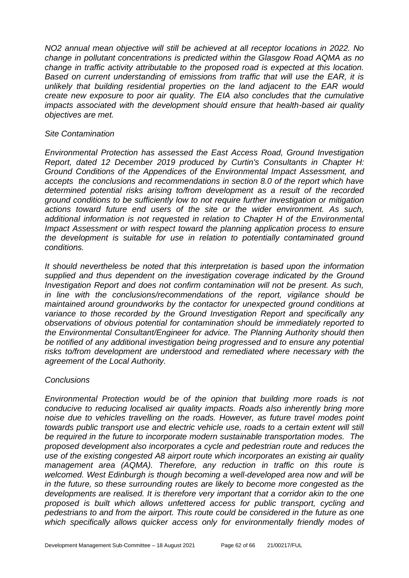*NO2 annual mean objective will still be achieved at all receptor locations in 2022. No change in pollutant concentrations is predicted within the Glasgow Road AQMA as no change in traffic activity attributable to the proposed road is expected at this location. Based on current understanding of emissions from traffic that will use the EAR, it is unlikely that building residential properties on the land adjacent to the EAR would create new exposure to poor air quality. The EIA also concludes that the cumulative impacts associated with the development should ensure that health-based air quality objectives are met.*

#### *Site Contamination*

*Environmental Protection has assessed the East Access Road, Ground Investigation Report, dated 12 December 2019 produced by Curtin's Consultants in Chapter H: Ground Conditions of the Appendices of the Environmental Impact Assessment, and accepts the conclusions and recommendations in section 8.0 of the report which have determined potential risks arising to/from development as a result of the recorded ground conditions to be sufficiently low to not require further investigation or mitigation actions toward future end users of the site or the wider environment. As such, additional information is not requested in relation to Chapter H of the Environmental Impact Assessment or with respect toward the planning application process to ensure the development is suitable for use in relation to potentially contaminated ground conditions.* 

*It should nevertheless be noted that this interpretation is based upon the information supplied and thus dependent on the investigation coverage indicated by the Ground Investigation Report and does not confirm contamination will not be present. As such, in line with the conclusions/recommendations of the report, vigilance should be maintained around groundworks by the contactor for unexpected ground conditions at variance to those recorded by the Ground Investigation Report and specifically any observations of obvious potential for contamination should be immediately reported to the Environmental Consultant/Engineer for advice. The Planning Authority should then be notified of any additional investigation being progressed and to ensure any potential*  risks to/from development are understood and remediated where necessary with the *agreement of the Local Authority.* 

#### *Conclusions*

*Environmental Protection would be of the opinion that building more roads is not conducive to reducing localised air quality impacts. Roads also inherently bring more noise due to vehicles travelling on the roads. However, as future travel modes point towards public transport use and electric vehicle use, roads to a certain extent will still be required in the future to incorporate modern sustainable transportation modes. The proposed development also incorporates a cycle and pedestrian route and reduces the use of the existing congested A8 airport route which incorporates an existing air quality management area (AQMA). Therefore, any reduction in traffic on this route is welcomed. West Edinburgh is though becoming a well-developed area now and will be in the future, so these surrounding routes are likely to become more congested as the developments are realised. It is therefore very important that a corridor akin to the one proposed is built which allows unfettered access for public transport, cycling and pedestrians to and from the airport. This route could be considered in the future as one which specifically allows quicker access only for environmentally friendly modes of*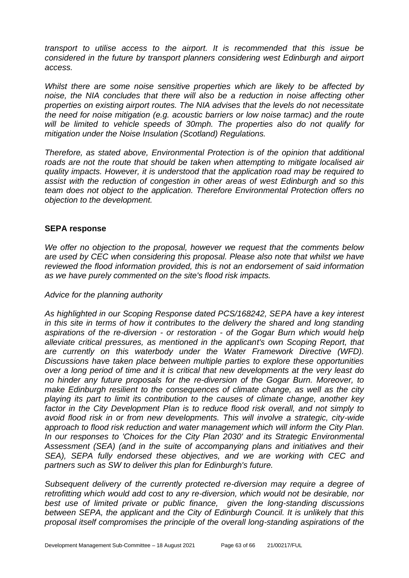*transport to utilise access to the airport. It is recommended that this issue be considered in the future by transport planners considering west Edinburgh and airport access.*

*Whilst there are some noise sensitive properties which are likely to be affected by noise, the NIA concludes that there will also be a reduction in noise affecting other properties on existing airport routes. The NIA advises that the levels do not necessitate the need for noise mitigation (e.g. acoustic barriers or low noise tarmac) and the route will be limited to vehicle speeds of 30mph. The properties also do not qualify for mitigation under the Noise Insulation (Scotland) Regulations.* 

*Therefore, as stated above, Environmental Protection is of the opinion that additional roads are not the route that should be taken when attempting to mitigate localised air quality impacts. However, it is understood that the application road may be required to assist with the reduction of congestion in other areas of west Edinburgh and so this team does not object to the application. Therefore Environmental Protection offers no objection to the development.*

#### **SEPA response**

*We offer no objection to the proposal, however we request that the comments below are used by CEC when considering this proposal. Please also note that whilst we have reviewed the flood information provided, this is not an endorsement of said information as we have purely commented on the site's flood risk impacts.* 

#### *Advice for the planning authority*

*As highlighted in our Scoping Response dated PCS/168242, SEPA have a key interest in this site in terms of how it contributes to the delivery the shared and long standing aspirations of the re-diversion - or restoration - of the Gogar Burn which would help alleviate critical pressures, as mentioned in the applicant's own Scoping Report, that are currently on this waterbody under the Water Framework Directive (WFD). Discussions have taken place between multiple parties to explore these opportunities over a long period of time and it is critical that new developments at the very least do no hinder any future proposals for the re-diversion of the Gogar Burn. Moreover, to make Edinburgh resilient to the consequences of climate change, as well as the city playing its part to limit its contribution to the causes of climate change, another key*  factor in the City Development Plan is to reduce flood risk overall, and not simply to *avoid flood risk in or from new developments. This will involve a strategic, city-wide approach to flood risk reduction and water management which will inform the City Plan. In our responses to 'Choices for the City Plan 2030' and its Strategic Environmental Assessment (SEA) (and in the suite of accompanying plans and initiatives and their SEA), SEPA fully endorsed these objectives, and we are working with CEC and partners such as SW to deliver this plan for Edinburgh's future.*

*Subsequent delivery of the currently protected re-diversion may require a degree of retrofitting which would add cost to any re-diversion, which would not be desirable, nor best use of limited private or public finance, given the long-standing discussions between SEPA, the applicant and the City of Edinburgh Council. It is unlikely that this proposal itself compromises the principle of the overall long-standing aspirations of the*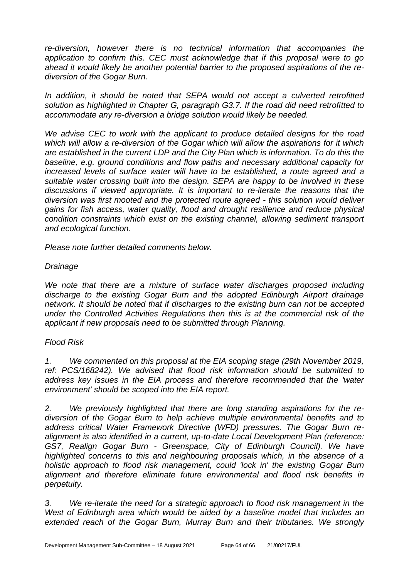*re-diversion, however there is no technical information that accompanies the application to confirm this. CEC must acknowledge that if this proposal were to go ahead it would likely be another potential barrier to the proposed aspirations of the rediversion of the Gogar Burn.*

In addition, it should be noted that SEPA would not accept a culverted retrofitted *solution as highlighted in Chapter G, paragraph G3.7. If the road did need retrofitted to accommodate any re-diversion a bridge solution would likely be needed.* 

*We advise CEC to work with the applicant to produce detailed designs for the road which will allow a re-diversion of the Gogar which will allow the aspirations for it which are established in the current LDP and the City Plan which is information. To do this the baseline, e.g. ground conditions and flow paths and necessary additional capacity for increased levels of surface water will have to be established, a route agreed and a suitable water crossing built into the design. SEPA are happy to be involved in these discussions if viewed appropriate. It is important to re-iterate the reasons that the diversion was first mooted and the protected route agreed - this solution would deliver gains for fish access, water quality, flood and drought resilience and reduce physical condition constraints which exist on the existing channel, allowing sediment transport and ecological function.*

*Please note further detailed comments below.*

#### *Drainage*

We note that there are a mixture of surface water discharges proposed including *discharge to the existing Gogar Burn and the adopted Edinburgh Airport drainage network. It should be noted that if discharges to the existing burn can not be accepted under the Controlled Activities Regulations then this is at the commercial risk of the applicant if new proposals need to be submitted through Planning.* 

#### *Flood Risk*

*1. We commented on this proposal at the EIA scoping stage (29th November 2019, ref: PCS/168242). We advised that flood risk information should be submitted to address key issues in the EIA process and therefore recommended that the 'water environment' should be scoped into the EIA report.*

*2. We previously highlighted that there are long standing aspirations for the rediversion of the Gogar Burn to help achieve multiple environmental benefits and to address critical Water Framework Directive (WFD) pressures. The Gogar Burn realignment is also identified in a current, up-to-date Local Development Plan (reference: GS7, Realign Gogar Burn - Greenspace, City of Edinburgh Council). We have highlighted concerns to this and neighbouring proposals which, in the absence of a holistic approach to flood risk management, could 'lock in' the existing Gogar Burn alignment and therefore eliminate future environmental and flood risk benefits in perpetuity.* 

*3. We re-iterate the need for a strategic approach to flood risk management in the West of Edinburgh area which would be aided by a baseline model that includes an extended reach of the Gogar Burn, Murray Burn and their tributaries. We strongly*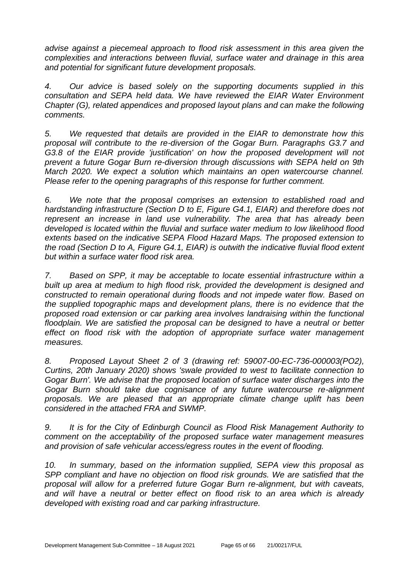*advise against a piecemeal approach to flood risk assessment in this area given the complexities and interactions between fluvial, surface water and drainage in this area and potential for significant future development proposals.* 

*4. Our advice is based solely on the supporting documents supplied in this consultation and SEPA held data. We have reviewed the EIAR Water Environment Chapter (G), related appendices and proposed layout plans and can make the following comments.*

*5. We requested that details are provided in the EIAR to demonstrate how this proposal will contribute to the re-diversion of the Gogar Burn. Paragraphs G3.7 and G3.8 of the EIAR provide 'justification' on how the proposed development will not prevent a future Gogar Burn re-diversion through discussions with SEPA held on 9th March 2020. We expect a solution which maintains an open watercourse channel. Please refer to the opening paragraphs of this response for further comment.*

*6. We note that the proposal comprises an extension to established road and hardstanding infrastructure (Section D to E, Figure G4.1, EIAR) and therefore does not represent an increase in land use vulnerability. The area that has already been developed is located within the fluvial and surface water medium to low likelihood flood extents based on the indicative SEPA Flood Hazard Maps. The proposed extension to the road (Section D to A, Figure G4.1, EIAR) is outwith the indicative fluvial flood extent but within a surface water flood risk area.* 

*7. Based on SPP, it may be acceptable to locate essential infrastructure within a built up area at medium to high flood risk, provided the development is designed and constructed to remain operational during floods and not impede water flow. Based on the supplied topographic maps and development plans, there is no evidence that the proposed road extension or car parking area involves landraising within the functional floodplain. We are satisfied the proposal can be designed to have a neutral or better effect on flood risk with the adoption of appropriate surface water management measures.* 

*8. Proposed Layout Sheet 2 of 3 (drawing ref: 59007-00-EC-736-000003(PO2), Curtins, 20th January 2020) shows 'swale provided to west to facilitate connection to Gogar Burn'. We advise that the proposed location of surface water discharges into the Gogar Burn should take due cognisance of any future watercourse re-alignment proposals. We are pleased that an appropriate climate change uplift has been considered in the attached FRA and SWMP.* 

*9. It is for the City of Edinburgh Council as Flood Risk Management Authority to comment on the acceptability of the proposed surface water management measures and provision of safe vehicular access/egress routes in the event of flooding.*

*10. In summary, based on the information supplied, SEPA view this proposal as SPP compliant and have no objection on flood risk grounds. We are satisfied that the proposal will allow for a preferred future Gogar Burn re-alignment, but with caveats, and will have a neutral or better effect on flood risk to an area which is already developed with existing road and car parking infrastructure.*